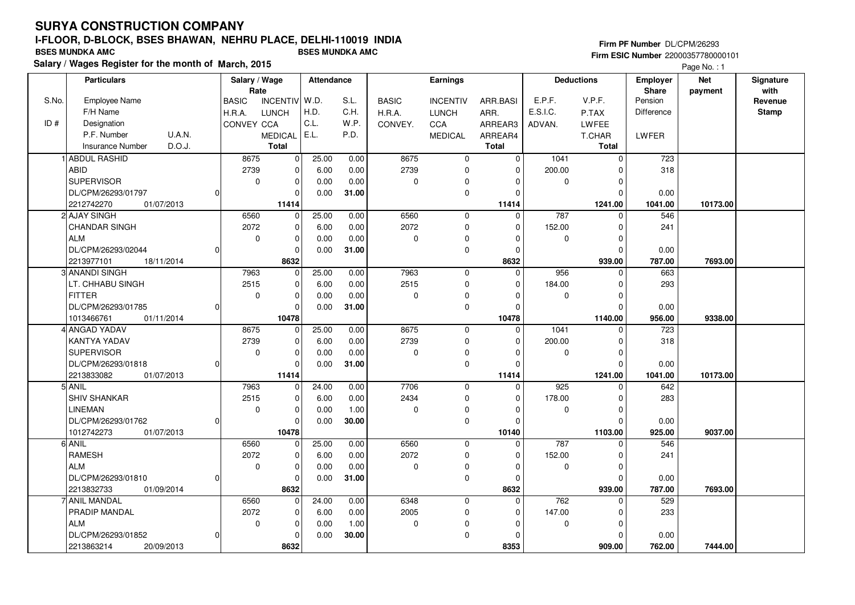#### **Firm PF Number** DL/CPM/26293 **Firm ESIC Number** 22000357780000101

|       | <b>Particulars</b>                |              | Salary / Wage<br>Rate |                 | <b>Attendance</b> |       |              | <b>Earnings</b> |              |             | <b>Deductions</b> | <b>Employer</b><br><b>Share</b> | <b>Net</b> | Signature<br>with |
|-------|-----------------------------------|--------------|-----------------------|-----------------|-------------------|-------|--------------|-----------------|--------------|-------------|-------------------|---------------------------------|------------|-------------------|
| S.No. | Employee Name                     |              | <b>BASIC</b>          | <b>INCENTIV</b> | W.D.              | S.L.  | <b>BASIC</b> | <b>INCENTIV</b> | ARR.BASI     | E.P.F.      | V.P.F.            | Pension                         | payment    | Revenue           |
|       | F/H Name                          |              | H.R.A.                | <b>LUNCH</b>    | H.D.              | C.H.  | H.R.A.       | <b>LUNCH</b>    | ARR.         | E.S.I.C.    | P.TAX             | Difference                      |            | <b>Stamp</b>      |
| ID#   | Designation                       |              | CONVEY CCA            |                 | C.L.              | W.P.  | CONVEY.      | CCA             | ARREAR3      | ADVAN.      | LWFEE             |                                 |            |                   |
|       | P.F. Number<br><b>U.A.N.</b>      |              |                       | MEDICAL E.L.    |                   | P.D.  |              | <b>MEDICAL</b>  | ARREAR4      |             | T.CHAR            | <b>LWFER</b>                    |            |                   |
|       | D.O.J.<br><b>Insurance Number</b> |              |                       | <b>Total</b>    |                   |       |              |                 | <b>Total</b> |             | <b>Total</b>      |                                 |            |                   |
|       | ABDUL RASHID                      |              | 8675                  | 0               | 25.00             | 0.00  | 8675         | 0               | 0            | 1041        | $\mathbf 0$       | 723                             |            |                   |
|       | ABID                              |              | 2739                  | $\mathbf 0$     | 6.00              | 0.00  | 2739         | $\mathbf 0$     | $\Omega$     | 200.00      | $\mathbf 0$       | 318                             |            |                   |
|       | <b>SUPERVISOR</b>                 |              | $\mathbf 0$           | 0               | 0.00              | 0.00  | $\mathbf 0$  | $\Omega$        | $\Omega$     | $\mathbf 0$ | $\mathbf 0$       |                                 |            |                   |
|       | DL/CPM/26293/01797                |              |                       | 0               | 0.00              | 31.00 |              | $\mathbf 0$     | $\Omega$     |             | $\mathbf 0$       | 0.00                            |            |                   |
|       | 2212742270<br>01/07/2013          |              |                       | 11414           |                   |       |              |                 | 11414        |             | 1241.00           | 1041.00                         | 10173.00   |                   |
|       | 2 AJAY SINGH                      |              | 6560                  | $\mathbf 0$     | 25.00             | 0.00  | 6560         | 0               | $\Omega$     | 787         | $\mathbf 0$       | 546                             |            |                   |
|       | <b>CHANDAR SINGH</b>              |              | 2072                  | 0               | 6.00              | 0.00  | 2072         | $\mathbf 0$     | $\Omega$     | 152.00      | $\mathbf 0$       | 241                             |            |                   |
|       | <b>ALM</b>                        |              | $\mathbf 0$           | 0               | 0.00              | 0.00  | $\mathbf 0$  | $\Omega$        | 0            | 0           | $\mathbf 0$       |                                 |            |                   |
|       | DL/CPM/26293/02044                |              |                       | $\mathbf 0$     | 0.00              | 31.00 |              | $\mathbf 0$     | $\Omega$     |             | $\mathbf 0$       | 0.00                            |            |                   |
|       | 2213977101<br>18/11/2014          |              |                       | 8632            |                   |       |              |                 | 8632         |             | 939.00            | 787.00                          | 7693.00    |                   |
|       | 3 ANANDI SINGH                    |              | 7963                  | $\Omega$        | 25.00             | 0.00  | 7963         | $\mathbf 0$     | $\Omega$     | 956         | $\mathbf 0$       | 663                             |            |                   |
|       | LT. CHHABU SINGH                  |              | 2515                  | 0               | 6.00              | 0.00  | 2515         | $\mathbf 0$     | $\Omega$     | 184.00      | $\mathbf 0$       | 293                             |            |                   |
|       | <b>FITTER</b>                     |              | 0                     | 0               | 0.00              | 0.00  | 0            | 0               | $\Omega$     | 0           | $\mathbf 0$       |                                 |            |                   |
|       | DL/CPM/26293/01785                |              |                       | $\Omega$        | 0.00              | 31.00 |              | $\mathbf 0$     | $\Omega$     |             | $\Omega$          | 0.00                            |            |                   |
|       | 01/11/2014<br>1013466761          |              |                       | 10478           |                   |       |              |                 | 10478        |             | 1140.00           | 956.00                          | 9338.00    |                   |
|       | 4 ANGAD YADAV                     |              | 8675                  | $\mathbf 0$     | 25.00             | 0.00  | 8675         | 0               | 0            | 1041        | 0                 | 723                             |            |                   |
|       | <b>KANTYA YADAV</b>               |              | 2739                  | $\mathbf 0$     | 6.00              | 0.00  | 2739         | $\mathbf 0$     | $\Omega$     | 200.00      | $\Omega$          | 318                             |            |                   |
|       | <b>SUPERVISOR</b>                 |              | $\mathbf 0$           | $\mathbf 0$     | 0.00              | 0.00  | $\mathbf 0$  | $\mathbf 0$     | $\Omega$     | $\mathbf 0$ | $\mathbf 0$       |                                 |            |                   |
|       | DL/CPM/26293/01818                |              |                       | $\mathbf 0$     | 0.00              | 31.00 |              | $\mathbf 0$     | O            |             | $\mathbf 0$       | 0.00                            |            |                   |
|       | 01/07/2013<br>2213833082          |              |                       | 11414           |                   |       |              |                 | 11414        |             | 1241.00           | 1041.00                         | 10173.00   |                   |
|       | 5 ANIL                            |              | 7963                  | 0               | 24.00             | 0.00  | 7706         | $\mathbf 0$     | $\Omega$     | 925         | $\Omega$          | 642                             |            |                   |
|       | SHIV SHANKAR                      |              | 2515                  | $\mathbf 0$     | 6.00              | 0.00  | 2434         | $\Omega$        | $\Omega$     | 178.00      | $\mathbf 0$       | 283                             |            |                   |
|       | <b>LINEMAN</b>                    |              | 0                     | 0               | 0.00              | 1.00  | 0            | $\Omega$        | 0            | 0           | $\mathbf 0$       |                                 |            |                   |
|       | DL/CPM/26293/01762                | <sup>0</sup> |                       | $\mathbf 0$     | 0.00              | 30.00 |              | $\mathbf 0$     | $\Omega$     |             | $\mathbf 0$       | 0.00                            |            |                   |
|       | 1012742273<br>01/07/2013          |              |                       | 10478           |                   |       |              |                 | 10140        |             | 1103.00           | 925.00                          | 9037.00    |                   |
|       | 6 ANIL                            |              | 6560                  | 0               | 25.00             | 0.00  | 6560         | $\mathbf 0$     | $\Omega$     | 787         | $\mathbf 0$       | 546                             |            |                   |
|       | <b>RAMESH</b>                     |              | 2072                  | $\mathbf 0$     | 6.00              | 0.00  | 2072         | $\mathbf 0$     | $\Omega$     | 152.00      | $\mathbf 0$       | 241                             |            |                   |
|       | <b>ALM</b>                        |              | $\mathbf 0$           | 0               | 0.00              | 0.00  | $\mathbf 0$  | 0               | $\Omega$     | $\mathbf 0$ | $\mathbf 0$       |                                 |            |                   |
|       | DL/CPM/26293/01810                |              |                       | 0               | 0.00              | 31.00 |              | $\mathbf 0$     | $\Omega$     |             | $\mathbf 0$       | 0.00                            |            |                   |
|       | 2213832733<br>01/09/2014          |              |                       | 8632            |                   |       |              |                 | 8632         |             | 939.00            | 787.00                          | 7693.00    |                   |
|       | 7 ANIL MANDAL                     |              | 6560                  | $\mathbf{0}$    | 24.00             | 0.00  | 6348         | $\mathbf 0$     | $\Omega$     | 762         | $\mathbf 0$       | 529                             |            |                   |
|       | PRADIP MANDAL                     |              | 2072                  | 0               | 6.00              | 0.00  | 2005         | 0               | 0            | 147.00      | 0                 | 233                             |            |                   |
|       | <b>ALM</b>                        |              | 0                     | 0               | 0.00              | 1.00  | 0            | $\Omega$        | 0            | 0           | $\mathbf 0$       |                                 |            |                   |
|       | DL/CPM/26293/01852                |              |                       | 0               | 0.00              | 30.00 |              | $\Omega$        | O            |             | $\mathbf 0$       | 0.00                            |            |                   |
|       | 2213863214<br>20/09/2013          |              |                       | 8632            |                   |       |              |                 | 8353         |             | 909.00            | 762.00                          | 7444.00    |                   |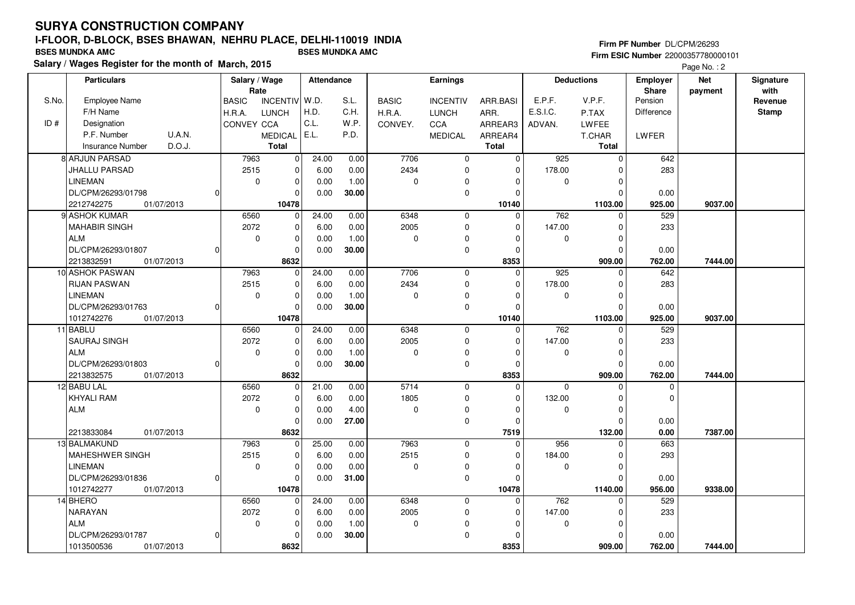#### **Firm PF Number** DL/CPM/26293 **Firm ESIC Number** 22000357780000101

|       | <b>Particulars</b>                |          | Salary / Wage        |                                | Attendance |       |              | Earnings        |                         |             | <b>Deductions</b>      | <b>Employer</b>         | <b>Net</b> | Signature       |
|-------|-----------------------------------|----------|----------------------|--------------------------------|------------|-------|--------------|-----------------|-------------------------|-------------|------------------------|-------------------------|------------|-----------------|
| S.No. | <b>Employee Name</b>              |          | Rate<br><b>BASIC</b> | <b>INCENTIV</b>                | W.D.       | S.L.  | <b>BASIC</b> | <b>INCENTIV</b> | ARR.BASI                | E.P.F.      | V.P.F.                 | <b>Share</b><br>Pension | payment    | with<br>Revenue |
|       | F/H Name                          |          | H.R.A.               | <b>LUNCH</b>                   | H.D.       | C.H.  | H.R.A.       | LUNCH           | ARR.                    | E.S.I.C.    | P.TAX                  | Difference              |            | <b>Stamp</b>    |
| ID#   | Designation                       |          | CONVEY CCA           |                                | C.L.       | W.P.  |              | CCA             | ARREAR3                 |             |                        |                         |            |                 |
|       | P.F. Number<br>U.A.N.             |          |                      |                                | E.L.       | P.D.  | CONVEY.      |                 |                         | ADVAN.      | LWFEE                  |                         |            |                 |
|       | D.O.J.<br><b>Insurance Number</b> |          |                      | <b>MEDICAL</b><br><b>Total</b> |            |       |              | <b>MEDICAL</b>  | ARREAR4<br><b>Total</b> |             | T.CHAR<br><b>Total</b> | LWFER                   |            |                 |
|       |                                   |          |                      |                                |            |       |              |                 |                         |             |                        |                         |            |                 |
|       | 8 ARJUN PARSAD                    |          | 7963                 | $\mathbf 0$                    | 24.00      | 0.00  | 7706         | $\mathbf 0$     | 0                       | 925         | $\Omega$               | 642                     |            |                 |
|       | JHALLU PARSAD                     |          | 2515                 | 0                              | 6.00       | 0.00  | 2434         | 0               | $\mathbf 0$             | 178.00      | <sup>0</sup>           | 283                     |            |                 |
|       | <b>LINEMAN</b>                    |          | $\mathbf 0$          | $\mathbf 0$                    | 0.00       | 1.00  | 0            | 0               | $\Omega$                | 0           | $\Omega$               |                         |            |                 |
|       | DL/CPM/26293/01798                | $\Omega$ |                      | $\Omega$                       | 0.00       | 30.00 |              | $\mathbf 0$     | 0                       |             | O                      | 0.00                    |            |                 |
|       | 2212742275<br>01/07/2013          |          |                      | 10478                          |            |       |              |                 | 10140                   |             | 1103.00                | 925.00                  | 9037.00    |                 |
|       | 9 ASHOK KUMAR                     |          | 6560                 | $\mathbf 0$                    | 24.00      | 0.00  | 6348         | $\mathbf 0$     | $\Omega$                | 762         | $\Omega$               | 529                     |            |                 |
|       | MAHABIR SINGH                     |          | 2072                 | 0                              | 6.00       | 0.00  | 2005         | $\mathbf 0$     | 0                       | 147.00      | $\Omega$               | 233                     |            |                 |
|       | <b>ALM</b>                        |          | $\mathbf 0$          | $\mathbf 0$                    | 0.00       | 1.00  | 0            | 0               | $\Omega$                | $\mathbf 0$ | n                      |                         |            |                 |
|       | DL/CPM/26293/01807                | $\Omega$ |                      | $\mathbf 0$                    | 0.00       | 30.00 |              | $\mathbf 0$     | $\Omega$                |             | $\Omega$               | 0.00                    |            |                 |
|       | 2213832591<br>01/07/2013          |          |                      | 8632                           |            |       |              |                 | 8353                    |             | 909.00                 | 762.00                  | 7444.00    |                 |
|       | 10 ASHOK PASWAN                   |          | 7963                 | $\mathbf 0$                    | 24.00      | 0.00  | 7706         | $\mathbf 0$     | $\mathbf 0$             | 925         | $\Omega$               | 642                     |            |                 |
|       | <b>RIJAN PASWAN</b>               |          | 2515                 | 0                              | 6.00       | 0.00  | 2434         | $\mathbf 0$     | $\Omega$                | 178.00      | O                      | 283                     |            |                 |
|       | <b>LINEMAN</b>                    |          | $\mathbf 0$          | $\mathbf 0$                    | 0.00       | 1.00  | 0            | $\mathbf 0$     | $\Omega$                | $\mathbf 0$ | $\Omega$               |                         |            |                 |
|       | DL/CPM/26293/01763                | 0        |                      | $\Omega$                       | 0.00       | 30.00 |              | $\mathbf 0$     | $\Omega$                |             |                        | 0.00                    |            |                 |
|       | 1012742276<br>01/07/2013          |          |                      | 10478                          |            |       |              |                 | 10140                   |             | 1103.00                | 925.00                  | 9037.00    |                 |
|       | 11 BABLU                          |          | 6560                 | $\mathbf 0$                    | 24.00      | 0.00  | 6348         | $\mathbf 0$     | 0                       | 762         | $\Omega$               | 529                     |            |                 |
|       | SAURAJ SINGH                      |          | 2072                 | $\mathbf 0$                    | 6.00       | 0.00  | 2005         | 0               | $\Omega$                | 147.00      | O                      | 233                     |            |                 |
|       | <b>ALM</b>                        |          | $\mathbf 0$          | $\mathbf 0$                    | 0.00       | 1.00  | 0            | 0               | $\Omega$                | $\mathbf 0$ | n                      |                         |            |                 |
|       | DL/CPM/26293/01803                | $\Omega$ |                      | $\mathbf 0$                    | 0.00       | 30.00 |              | $\mathbf 0$     | $\Omega$                |             | n                      | 0.00                    |            |                 |
|       | 2213832575<br>01/07/2013          |          |                      | 8632                           |            |       |              |                 | 8353                    |             | 909.00                 | 762.00                  | 7444.00    |                 |
|       | 12 BABU LAL                       |          | 6560                 | $\mathbf 0$                    | 21.00      | 0.00  | 5714         | $\mathbf 0$     | $\overline{0}$          | $\mathbf 0$ |                        | $\mathbf 0$             |            |                 |
|       | KHYALI RAM                        |          | 2072                 | $\mathbf 0$                    | 6.00       | 0.00  | 1805         | $\mathbf 0$     | $\Omega$                | 132.00      |                        | $\mathbf 0$             |            |                 |
|       | <b>ALM</b>                        |          | $\mathbf 0$          | $\mathbf 0$                    | 0.00       | 4.00  | 0            | 0               | $\Omega$                | 0           | $\Omega$               |                         |            |                 |
|       |                                   |          |                      | $\mathbf 0$                    | 0.00       | 27.00 |              | $\mathbf 0$     | 0                       |             | $\Omega$               | 0.00                    |            |                 |
|       | 2213833084<br>01/07/2013          |          |                      | 8632                           |            |       |              |                 | 7519                    |             | 132.00                 | 0.00                    | 7387.00    |                 |
|       | 13 BALMAKUND                      |          | 7963                 | $\mathbf 0$                    | 25.00      | 0.00  | 7963         | $\mathbf 0$     | $\Omega$                | 956         | $\Omega$               | 663                     |            |                 |
|       | MAHESHWER SINGH                   |          | 2515                 | $\mathbf 0$                    | 6.00       | 0.00  | 2515         | $\mathbf 0$     | $\Omega$                | 184.00      | $\Omega$               | 293                     |            |                 |
|       | <b>LINEMAN</b>                    |          | $\mathbf 0$          | $\mathbf 0$                    | 0.00       | 0.00  | 0            | 0               | $\Omega$                | $\mathbf 0$ | n                      |                         |            |                 |
|       | DL/CPM/26293/01836                | 0l       |                      | $\mathbf 0$                    | 0.00       | 31.00 |              | $\mathbf 0$     | 0                       |             | $\Omega$               | 0.00                    |            |                 |
|       | 1012742277<br>01/07/2013          |          |                      | 10478                          |            |       |              |                 | 10478                   |             | 1140.00                | 956.00                  | 9338.00    |                 |
|       | 14 BHERO                          |          | 6560                 | 0                              | 24.00      | 0.00  | 6348         | $\mathbf 0$     | 0                       | 762         | $\Omega$               | 529                     |            |                 |
|       | <b>NARAYAN</b>                    |          | 2072                 | $\mathbf 0$                    | 6.00       | 0.00  | 2005         | $\mathbf 0$     | $\Omega$                | 147.00      | ŋ                      | 233                     |            |                 |
|       | ALM                               |          | $\mathbf 0$          | 0                              | 0.00       | 1.00  | 0            | 0               | $\Omega$                | 0           | O                      |                         |            |                 |
|       | DL/CPM/26293/01787                | 0        |                      | 0                              | 0.00       | 30.00 |              | $\mathbf 0$     | $\Omega$                |             |                        | 0.00                    |            |                 |
|       | 1013500536<br>01/07/2013          |          |                      | 8632                           |            |       |              |                 | 8353                    |             | 909.00                 | 762.00                  | 7444.00    |                 |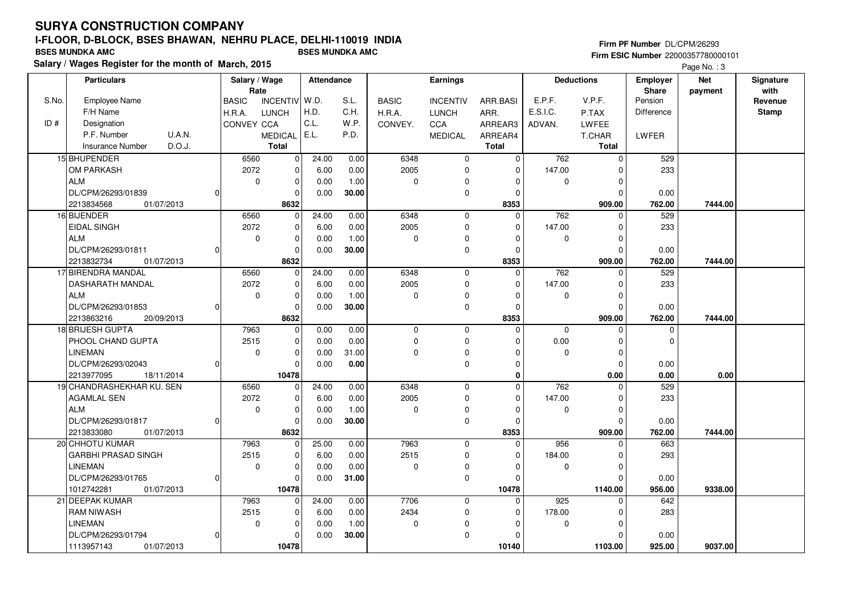#### **Firm PF Number** DL/CPM/26293 **Firm ESIC Number** 22000357780000101

|       | <b>Particulars</b>                                    |                | Salary / Wage<br>Rate |                  | Attendance   |               |              | <b>Earnings</b> |                         |             | <b>Deductions</b>          | <b>Employer</b><br>Share | <b>Net</b> | Signature<br>with |
|-------|-------------------------------------------------------|----------------|-----------------------|------------------|--------------|---------------|--------------|-----------------|-------------------------|-------------|----------------------------|--------------------------|------------|-------------------|
| S.No. | Employee Name                                         |                | <b>BASIC</b>          | <b>INCENTIV</b>  | W.D.         | S.L.          | <b>BASIC</b> | <b>INCENTIV</b> | ARR.BASI                | E.P.F.      | V.P.F.                     | Pension                  | payment    | Revenue           |
|       | F/H Name                                              |                | H.R.A.                | <b>LUNCH</b>     | H.D.         | C.H.          | H.R.A.       | <b>LUNCH</b>    | ARR.                    | E.S.I.C.    | P.TAX                      | <b>Difference</b>        |            | <b>Stamp</b>      |
| ID#   | Designation                                           |                | <b>CONVEY CCA</b>     |                  | C.L.         | W.P.          | CONVEY.      | CCA             | ARREAR3                 | ADVAN.      | LWFEE                      |                          |            |                   |
|       | <b>U.A.N.</b><br>P.F. Number                          |                |                       | <b>MEDICAL</b>   | E.L.         | P.D.          |              | <b>MEDICAL</b>  | ARREAR4                 |             | T.CHAR                     | <b>LWFER</b>             |            |                   |
|       | D.O.J.<br><b>Insurance Number</b>                     |                |                       | <b>Total</b>     |              |               |              |                 | <b>Total</b>            |             | <b>Total</b>               |                          |            |                   |
|       | 15 BHUPENDER                                          |                | 6560                  | 0                | 24.00        | 0.00          | 6348         | $\mathbf 0$     | $\Omega$                | 762         | $\mathbf 0$                | 529                      |            |                   |
|       | OM PARKASH                                            |                | 2072                  | 0                | 6.00         | 0.00          | 2005         | 0               | $\Omega$                | 147.00      | $\mathbf 0$                | 233                      |            |                   |
|       | <b>ALM</b>                                            |                | $\mathbf 0$           | 0                | 0.00         | 1.00          | $\mathbf 0$  | $\Omega$        | $\Omega$                | $\mathbf 0$ | $\mathbf 0$                |                          |            |                   |
|       | DL/CPM/26293/01839                                    | $\Omega$       |                       | 0                | 0.00         | 30.00         |              | 0               | $\Omega$                |             | $\mathbf 0$                | 0.00                     |            |                   |
|       | 2213834568<br>01/07/2013                              |                |                       | 8632             |              |               |              |                 | 8353                    |             | 909.00                     | 762.00                   | 7444.00    |                   |
|       | 16 BIJENDER                                           |                | 6560                  | $\Omega$         | 24.00        | 0.00          | 6348         | $\mathbf 0$     | $\Omega$                | 762         | $\Omega$                   | 529                      |            |                   |
|       | <b>EIDAL SINGH</b>                                    |                | 2072                  | 0                | 6.00         | 0.00          | 2005         | 0               | $\mathbf 0$             | 147.00      | $\mathbf 0$                | 233                      |            |                   |
|       | <b>ALM</b>                                            |                | $\pmb{0}$             |                  |              |               |              | $\Omega$        | $\Omega$                |             |                            |                          |            |                   |
|       |                                                       | $\Omega$       |                       | 0                | 0.00         | 1.00          | $\mathbf 0$  |                 | $\Omega$                | $\mathbf 0$ | $\mathbf 0$<br>$\mathbf 0$ |                          |            |                   |
|       | DL/CPM/26293/01811                                    |                |                       | $\mathbf 0$      | 0.00         | 30.00         |              | $\pmb{0}$       |                         |             |                            | 0.00                     | 7444.00    |                   |
|       | 2213832734<br>01/07/2013<br>17 BIRENDRA MANDAL        |                |                       | 8632<br>$\Omega$ | 24.00        | 0.00          | 6348         |                 | 8353<br>$\mathbf{0}$    | 762         | 909.00                     | 762.00<br>529            |            |                   |
|       |                                                       |                | 6560<br>2072          |                  |              |               | 2005         | $\mathbf 0$     | $\Omega$                |             | $\mathbf 0$                |                          |            |                   |
|       | <b>DASHARATH MANDAL</b><br><b>ALM</b>                 |                |                       | 0                | 6.00         | 0.00          |              | $\mathbf 0$     |                         | 147.00      | $\mathbf 0$                | 233                      |            |                   |
|       | DL/CPM/26293/01853                                    |                | $\mathbf 0$           | 0                | 0.00         | 1.00          | $\mathbf 0$  | $\mathbf 0$     | $\Omega$                | $\mathbf 0$ | $\mathbf 0$                |                          |            |                   |
|       |                                                       | $\Omega$       |                       | 0                | 0.00         | 30.00         |              | 0               | $\Omega$<br>8353        |             | $\mathbf 0$                | 0.00                     |            |                   |
|       | 20/09/2013<br>2213863216<br>18 BRIJESH GUPTA          |                | 7963                  | 8632<br>0        | 0.00         | 0.00          | 0            | 0               | $\Omega$                | $\mathbf 0$ | 909.00<br>$\mathbf 0$      | 762.00<br>$\mathbf 0$    | 7444.00    |                   |
|       | PHOOL CHAND GUPTA                                     |                | 2515                  | 0                | 0.00         | 0.00          | $\mathsf 0$  | 0               | O                       | 0.00        | $\mathbf 0$                | $\Omega$                 |            |                   |
|       | <b>LINEMAN</b>                                        |                | $\mathbf 0$           |                  |              |               | $\mathbf 0$  | $\mathbf 0$     | $\Omega$                |             | $\mathbf 0$                |                          |            |                   |
|       |                                                       |                |                       | $\mathbf 0$      | 0.00         | 31.00         |              |                 |                         | $\mathbf 0$ |                            |                          |            |                   |
|       | DL/CPM/26293/02043                                    | $\Omega$       |                       | $\mathbf 0$      | 0.00         | 0.00          |              | $\mathbf 0$     | $\Omega$                |             | $\mathbf 0$                | 0.00                     |            |                   |
|       | 2213977095<br>18/11/2014<br>19 CHANDRASHEKHAR KU. SEN |                | 6560                  | 10478<br>0       | 24.00        | 0.00          | 6348         | $\mathbf 0$     | $\mathbf 0$<br>$\Omega$ | 762         | 0.00<br>$\Omega$           | 0.00<br>529              | 0.00       |                   |
|       | <b>AGAMLAL SEN</b>                                    |                | 2072                  | $\mathbf 0$      | 6.00         | 0.00          | 2005         | $\mathbf 0$     | $\Omega$                | 147.00      | $\mathbf 0$                | 233                      |            |                   |
|       | <b>ALM</b>                                            |                |                       |                  |              |               | $\Omega$     |                 | $\Omega$                |             | $\mathbf 0$                |                          |            |                   |
|       | DL/CPM/26293/01817                                    | $\Omega$       | $\mathbf 0$           | 0<br>$\mathbf 0$ | 0.00<br>0.00 | 1.00<br>30.00 |              | 0               | $\Omega$                | $\mathbf 0$ | $\Omega$                   |                          |            |                   |
|       |                                                       |                |                       |                  |              |               |              | $\mathbf 0$     |                         |             |                            | 0.00                     |            |                   |
|       | 2213833080<br>01/07/2013<br>20 CHHOTU KUMAR           |                | 7963                  | 8632<br>0        | 25.00        | 0.00          | 7963         | $\mathbf 0$     | 8353<br>$\Omega$        | 956         | 909.00<br>$\mathbf 0$      | 762.00<br>663            | 7444.00    |                   |
|       | <b>GARBHI PRASAD SINGH</b>                            |                | 2515                  | $\mathbf 0$      | 6.00         | 0.00          | 2515         | $\mathbf 0$     | $\Omega$                | 184.00      | $\mathbf 0$                | 293                      |            |                   |
|       |                                                       |                |                       |                  |              |               |              |                 |                         |             |                            |                          |            |                   |
|       | <b>LINEMAN</b>                                        |                | $\mathbf 0$           | $\mathbf 0$      | 0.00         | 0.00          | $\mathbf 0$  | 0               | $\Omega$<br>$\Omega$    | $\mathbf 0$ | $\mathbf 0$<br>$\Omega$    |                          |            |                   |
|       | DL/CPM/26293/01765                                    | $\overline{0}$ |                       | 0                | 0.00         | 31.00         |              | 0               |                         |             |                            | 0.00                     |            |                   |
|       | 1012742281<br>01/07/2013                              |                |                       | 10478            |              |               |              |                 | 10478                   |             | 1140.00                    | 956.00                   | 9338.00    |                   |
|       | 21 DEEPAK KUMAR                                       |                | 7963                  | 0                | 24.00        | 0.00          | 7706         | $\mathbf 0$     | $\Omega$                | 925         | $\mathbf 0$                | 642                      |            |                   |
|       | <b>RAM NIWASH</b>                                     |                | 2515                  | 0                | 6.00         | 0.00          | 2434         | 0               | $\Omega$                | 178.00      | 0                          | 283                      |            |                   |
|       | <b>LINEMAN</b>                                        |                | $\mathbf 0$           | $\mathbf 0$      | 0.00         | 1.00          | $\mathbf 0$  | $\Omega$        | $\Omega$                | $\mathbf 0$ | $\mathbf 0$                |                          |            |                   |
|       | DL/CPM/26293/01794                                    | $\Omega$       |                       | $\Omega$         | 0.00         | 30.00         |              | $\mathbf 0$     | O                       |             | $\Omega$                   | 0.00                     |            |                   |
|       | 1113957143<br>01/07/2013                              |                |                       | 10478            |              |               |              |                 | 10140                   |             | 1103.00                    | 925.00                   | 9037.00    |                   |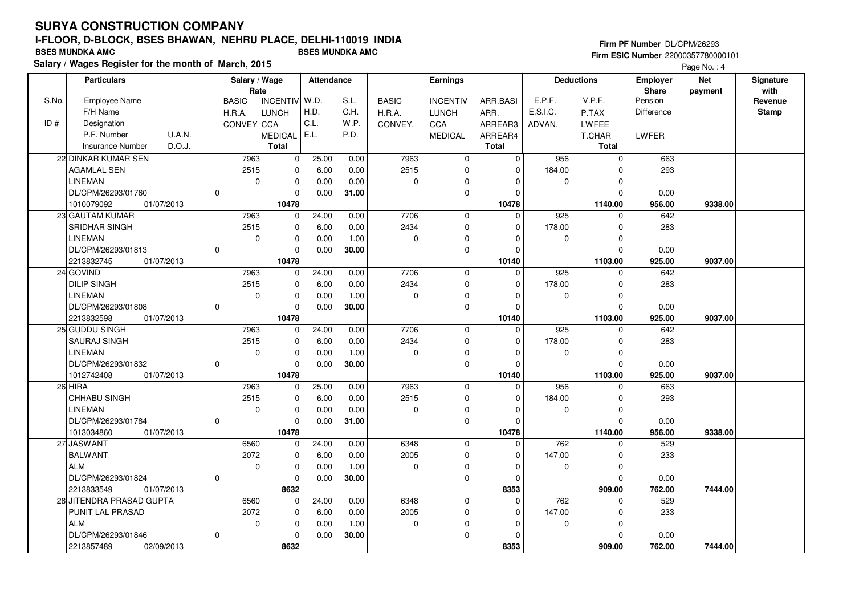#### **Firm PF Number** DL/CPM/26293 **Firm ESIC Number** 22000357780000101

|       | <b>Particulars</b>                |   | Salary / Wage        |                 | Attendance |       |              | Earnings        |              |             | <b>Deductions</b> | <b>Employer</b>         | <b>Net</b> | Signature<br>with |
|-------|-----------------------------------|---|----------------------|-----------------|------------|-------|--------------|-----------------|--------------|-------------|-------------------|-------------------------|------------|-------------------|
| S.No. | Employee Name                     |   | Rate<br><b>BASIC</b> | <b>INCENTIV</b> | W.D.       | S.L.  | <b>BASIC</b> | <b>INCENTIV</b> | ARR.BASI     | E.P.F.      | V.P.F.            | <b>Share</b><br>Pension | payment    | Revenue           |
|       | F/H Name                          |   | H.R.A.               | <b>LUNCH</b>    | H.D.       | C.H.  | H.R.A.       | <b>LUNCH</b>    | ARR.         | E.S.I.C.    | P.TAX             | Difference              |            | <b>Stamp</b>      |
| ID#   | Designation                       |   | CONVEY CCA           |                 | C.L.       | W.P.  | CONVEY.      | CCA             | ARREAR3      | ADVAN.      | LWFEE             |                         |            |                   |
|       | P.F. Number<br><b>U.A.N.</b>      |   |                      | <b>MEDICAL</b>  | E.L.       | P.D.  |              | <b>MEDICAL</b>  | ARREAR4      |             | T.CHAR            | LWFER                   |            |                   |
|       | D.O.J.<br><b>Insurance Number</b> |   |                      | <b>Total</b>    |            |       |              |                 | <b>Total</b> |             | Total             |                         |            |                   |
|       | 22 DINKAR KUMAR SEN               |   | 7963                 | $\Omega$        | 25.00      | 0.00  | 7963         | 0               | 0            | 956         | $\mathbf 0$       | 663                     |            |                   |
|       | <b>AGAMLAL SEN</b>                |   | 2515                 | 0               | 6.00       | 0.00  | 2515         | 0               | $\Omega$     | 184.00      | $\mathbf 0$       | 293                     |            |                   |
|       | <b>LINEMAN</b>                    |   | $\mathbf 0$          | $\mathbf 0$     | 0.00       | 0.00  | $\mathbf 0$  | $\Omega$        | $\Omega$     | $\mathbf 0$ | $\mathbf 0$       |                         |            |                   |
|       | DL/CPM/26293/01760                |   |                      | $\Omega$        | 0.00       | 31.00 |              | $\mathbf 0$     | $\Omega$     |             | $\Omega$          | 0.00                    |            |                   |
|       | 1010079092<br>01/07/2013          |   |                      | 10478           |            |       |              |                 | 10478        |             | 1140.00           | 956.00                  | 9338.00    |                   |
|       | 23 GAUTAM KUMAR                   |   | 7963                 | $\Omega$        | 24.00      | 0.00  | 7706         | $\mathbf 0$     | $\Omega$     | 925         | $\mathbf 0$       | 642                     |            |                   |
|       | SRIDHAR SINGH                     |   | 2515                 | $\Omega$        | 6.00       | 0.00  | 2434         | $\Omega$        | $\Omega$     | 178.00      | $\mathbf 0$       | 283                     |            |                   |
|       | <b>LINEMAN</b>                    |   | 0                    | $\mathbf 0$     | 0.00       | 1.00  | 0            | $\Omega$        | $\Omega$     | 0           | $\mathbf 0$       |                         |            |                   |
|       | DL/CPM/26293/01813                |   |                      | $\Omega$        | 0.00       | 30.00 |              | $\mathbf 0$     | $\Omega$     |             | $\mathbf 0$       | 0.00                    |            |                   |
|       | 01/07/2013<br>2213832745          |   |                      | 10478           |            |       |              |                 | 10140        |             | 1103.00           | 925.00                  | 9037.00    |                   |
|       | 24 GOVIND                         |   | 7963                 | 0               | 24.00      | 0.00  | 7706         | $\mathbf 0$     | $\mathbf 0$  | 925         | 0                 | 642                     |            |                   |
|       | <b>DILIP SINGH</b>                |   | 2515                 | $\mathbf 0$     | 6.00       | 0.00  | 2434         | 0               | $\Omega$     | 178.00      | $\mathbf 0$       | 283                     |            |                   |
|       | <b>LINEMAN</b>                    |   | 0                    | $\mathbf 0$     | 0.00       | 1.00  | 0            | $\mathbf 0$     | $\Omega$     | $\mathbf 0$ | $\Omega$          |                         |            |                   |
|       | DL/CPM/26293/01808                |   |                      | $\Omega$        | 0.00       | 30.00 |              | $\mathbf 0$     | $\Omega$     |             | $\Omega$          | 0.00                    |            |                   |
|       | 2213832598<br>01/07/2013          |   |                      | 10478           |            |       |              |                 | 10140        |             | 1103.00           | 925.00                  | 9037.00    |                   |
|       | 25 GUDDU SINGH                    |   | 7963                 | $\Omega$        | 24.00      | 0.00  | 7706         | $\mathbf 0$     | $\Omega$     | 925         | $\mathbf 0$       | 642                     |            |                   |
|       | SAURAJ SINGH                      |   | 2515                 | $\Omega$        | 6.00       | 0.00  | 2434         | $\mathbf 0$     | $\Omega$     | 178.00      | $\mathbf 0$       | 283                     |            |                   |
|       | LINEMAN                           |   | 0                    | $\Omega$        | 0.00       | 1.00  | 0            | 0               | $\Omega$     | $\mathbf 0$ | $\mathbf 0$       |                         |            |                   |
|       | DL/CPM/26293/01832                |   |                      | $\Omega$        | 0.00       | 30.00 |              | $\mathbf 0$     | $\Omega$     |             | $\mathbf 0$       | 0.00                    |            |                   |
|       | 1012742408<br>01/07/2013          |   |                      | 10478           |            |       |              |                 | 10140        |             | 1103.00           | 925.00                  | 9037.00    |                   |
|       | 26 HIRA                           |   | 7963                 | $\Omega$        | 25.00      | 0.00  | 7963         | 0               | $\Omega$     | 956         | $\Omega$          | 663                     |            |                   |
|       | CHHABU SINGH                      |   | 2515                 | $\Omega$        | 6.00       | 0.00  | 2515         | $\Omega$        | $\Omega$     | 184.00      | $\mathbf 0$       | 293                     |            |                   |
|       | LINEMAN                           |   | 0                    | $\mathbf 0$     | 0.00       | 0.00  | 0            | 0               | $\Omega$     | 0           | $\mathbf 0$       |                         |            |                   |
|       | DL/CPM/26293/01784                | ŋ |                      | 0               | 0.00       | 31.00 |              | $\mathbf 0$     | $\Omega$     |             | $\Omega$          | 0.00                    |            |                   |
|       | 1013034860<br>01/07/2013          |   |                      | 10478           |            |       |              |                 | 10478        |             | 1140.00           | 956.00                  | 9338.00    |                   |
|       | 27 JASWANT                        |   | 6560                 | $\Omega$        | 24.00      | 0.00  | 6348         | $\mathbf 0$     | $\Omega$     | 762         | $\mathbf 0$       | 529                     |            |                   |
|       | <b>BALWANT</b>                    |   | 2072                 | $\Omega$        | 6.00       | 0.00  | 2005         | 0               | $\Omega$     | 147.00      | $\mathbf 0$       | 233                     |            |                   |
|       | <b>ALM</b>                        |   | $\mathbf 0$          | $\mathbf 0$     | 0.00       | 1.00  | 0            | 0               | $\Omega$     | $\mathbf 0$ | $\mathbf 0$       |                         |            |                   |
|       | DL/CPM/26293/01824                |   |                      | $\Omega$        | 0.00       | 30.00 |              | $\mathbf 0$     | $\Omega$     |             | $\mathbf 0$       | 0.00                    |            |                   |
|       | 2213833549<br>01/07/2013          |   |                      | 8632            |            |       |              |                 | 8353         |             | 909.00            | 762.00                  | 7444.00    |                   |
|       | 28 JITENDRA PRASAD GUPTA          |   | 6560                 | $\Omega$        | 24.00      | 0.00  | 6348         | $\mathbf 0$     | $\Omega$     | 762         | $\Omega$          | 529                     |            |                   |
|       | PUNIT LAL PRASAD                  |   | 2072                 | $\mathbf 0$     | 6.00       | 0.00  | 2005         | 0               | 0            | 147.00      | $\mathbf 0$       | 233                     |            |                   |
|       | <b>ALM</b>                        |   | $\mathbf 0$          | $\mathbf 0$     | 0.00       | 1.00  | 0            | $\Omega$        | $\Omega$     | $\mathbf 0$ | $\mathbf 0$       |                         |            |                   |
|       | DL/CPM/26293/01846                |   |                      | $\Omega$        | 0.00       | 30.00 |              | $\Omega$        | $\Omega$     |             | $\Omega$          | 0.00                    |            |                   |
|       | 2213857489<br>02/09/2013          |   |                      | 8632            |            |       |              |                 | 8353         |             | 909.00            | 762.00                  | 7444.00    |                   |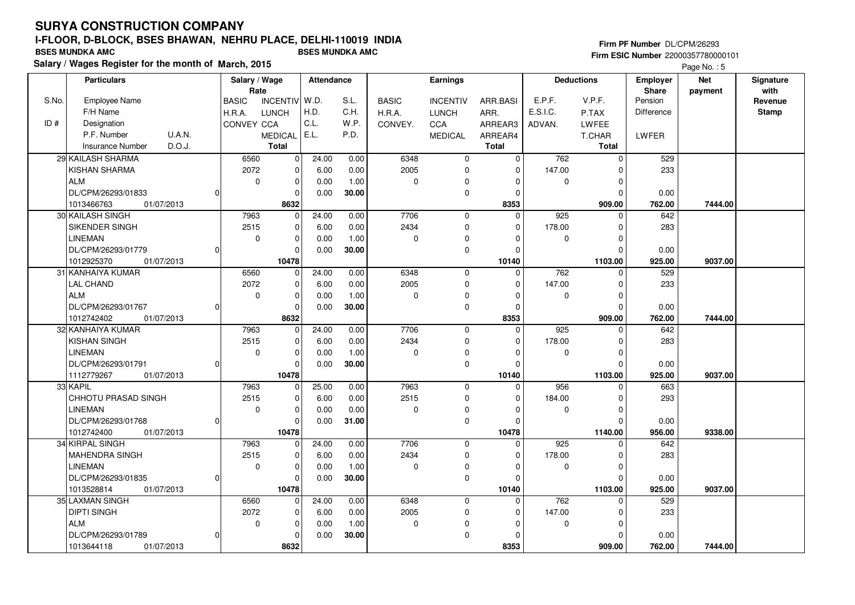#### **Firm PF Number** DL/CPM/26293 **Firm ESIC Number** 22000357780000101

|       | <b>Particulars</b>                |          | Salary / Wage<br>Rate |                 | <b>Attendance</b> |       |              | <b>Earnings</b> |              |                  | <b>Deductions</b> | <b>Employer</b><br>Share | <b>Net</b> | Signature<br>with |
|-------|-----------------------------------|----------|-----------------------|-----------------|-------------------|-------|--------------|-----------------|--------------|------------------|-------------------|--------------------------|------------|-------------------|
| S.No. | <b>Employee Name</b>              |          | <b>BASIC</b>          | <b>INCENTIV</b> | W.D.              | S.L.  | <b>BASIC</b> | <b>INCENTIV</b> | ARR.BASI     | E.P.F.           | V.P.F.            | Pension                  | payment    | Revenue           |
|       | F/H Name                          |          | H.R.A.                | <b>LUNCH</b>    | H.D.              | C.H.  | H.R.A.       | <b>LUNCH</b>    | ARR.         | E.S.I.C.         | P.TAX             | <b>Difference</b>        |            | <b>Stamp</b>      |
| ID#   | Designation                       |          | CONVEY CCA            |                 | C.L.              | W.P.  | CONVEY.      | <b>CCA</b>      | ARREAR3      | ADVAN.           | LWFEE             |                          |            |                   |
|       | P.F. Number<br><b>U.A.N.</b>      |          |                       | <b>MEDICAL</b>  | E.L.              | P.D.  |              | <b>MEDICAL</b>  | ARREAR4      |                  | T.CHAR            | LWFER                    |            |                   |
|       | D.O.J.<br><b>Insurance Number</b> |          |                       | <b>Total</b>    |                   |       |              |                 | <b>Total</b> |                  | <b>Total</b>      |                          |            |                   |
|       |                                   |          |                       |                 |                   |       |              |                 | $\mathbf 0$  |                  |                   |                          |            |                   |
|       | 29 KAILASH SHARMA                 |          | 6560                  | 0               | 24.00             | 0.00  | 6348         | $\mathbf{0}$    |              | 762              | $\mathbf 0$       | 529                      |            |                   |
|       | KISHAN SHARMA                     |          | 2072                  | 0               | 6.00              | 0.00  | 2005         | $\mathbf 0$     | 0            | 147.00           | $\Omega$          | 233                      |            |                   |
|       | <b>ALM</b>                        |          | $\mathbf 0$           | $\mathbf 0$     | 0.00              | 1.00  | 0            | $\mathbf 0$     | $\mathbf 0$  | $\mathbf 0$      | $\Omega$          |                          |            |                   |
|       | DL/CPM/26293/01833                | U        |                       | 0               | 0.00              | 30.00 |              | $\mathbf 0$     | 0            |                  | $\Omega$          | 0.00                     |            |                   |
|       | 1013466763<br>01/07/2013          |          |                       | 8632            |                   |       |              |                 | 8353         |                  | 909.00            | 762.00                   | 7444.00    |                   |
|       | 30 KAILASH SINGH                  |          | 7963                  | $\Omega$        | 24.00             | 0.00  | 7706         | $\mathbf 0$     | $\Omega$     | $\overline{925}$ | $\Omega$          | 642                      |            |                   |
|       | SIKENDER SINGH                    |          | 2515                  | $\mathbf 0$     | 6.00              | 0.00  | 2434         | $\mathbf 0$     | $\Omega$     | 178.00           | $\Omega$          | 283                      |            |                   |
|       | <b>LINEMAN</b>                    |          | $\mathbf 0$           | 0               | 0.00              | 1.00  | 0            | $\Omega$        | $\Omega$     | 0                | $\Omega$          |                          |            |                   |
|       | DL/CPM/26293/01779                | $\Omega$ |                       | $\mathbf 0$     | 0.00              | 30.00 |              | $\mathbf 0$     | $\Omega$     |                  | $\Omega$          | 0.00                     |            |                   |
|       | 1012925370<br>01/07/2013          |          |                       | 10478           |                   |       |              |                 | 10140        |                  | 1103.00           | 925.00                   | 9037.00    |                   |
|       | 31 KANHAIYA KUMAR                 |          | 6560                  | $\mathbf 0$     | 24.00             | 0.00  | 6348         | $\mathbf 0$     | $\mathbf 0$  | 762              | $\Omega$          | 529                      |            |                   |
|       | <b>LAL CHAND</b>                  |          | 2072                  | 0               | 6.00              | 0.00  | 2005         | $\mathbf 0$     | 0            | 147.00           | $\Omega$          | 233                      |            |                   |
|       | <b>ALM</b>                        |          | $\mathbf 0$           | $\mathbf 0$     | 0.00              | 1.00  | 0            | $\Omega$        | $\Omega$     | 0                | $\Omega$          |                          |            |                   |
|       | DL/CPM/26293/01767                | 0        |                       | $\mathbf 0$     | 0.00              | 30.00 |              | $\mathbf 0$     | $\Omega$     |                  | $\Omega$          | 0.00                     |            |                   |
|       | 1012742402<br>01/07/2013          |          |                       | 8632            |                   |       |              |                 | 8353         |                  | 909.00            | 762.00                   | 7444.00    |                   |
|       | 32 KANHAIYA KUMAR                 |          | 7963                  | $\mathbf 0$     | 24.00             | 0.00  | 7706         | $\pmb{0}$       | $\Omega$     | 925              | $\Omega$          | 642                      |            |                   |
|       | <b>KISHAN SINGH</b>               |          | 2515                  | $\mathbf 0$     | 6.00              | 0.00  | 2434         | $\mathbf 0$     | 0            | 178.00           | $\Omega$          | 283                      |            |                   |
|       | <b>LINEMAN</b>                    |          | 0                     | $\mathbf 0$     | 0.00              | 1.00  | 0            | $\pmb{0}$       | $\Omega$     | 0                | $\Omega$          |                          |            |                   |
|       | DL/CPM/26293/01791                | $\Omega$ |                       | 0               | 0.00              | 30.00 |              | $\mathbf 0$     | 0            |                  | $\Omega$          | 0.00                     |            |                   |
|       | 1112779267<br>01/07/2013          |          |                       | 10478           |                   |       |              |                 | 10140        |                  | 1103.00           | 925.00                   | 9037.00    |                   |
|       | 33 KAPIL                          |          | 7963                  | $\mathbf 0$     | 25.00             | 0.00  | 7963         | $\mathbf 0$     | $\Omega$     | 956              | $\Omega$          | 663                      |            |                   |
|       | CHHOTU PRASAD SINGH               |          | 2515                  | $\mathbf 0$     | 6.00              | 0.00  | 2515         | $\mathbf 0$     | 0            | 184.00           | $\Omega$          | 293                      |            |                   |
|       | <b>LINEMAN</b>                    |          | $\mathbf 0$           | $\mathbf 0$     | 0.00              | 0.00  | 0            | $\mathbf 0$     | $\Omega$     | $\mathbf 0$      | $\Omega$          |                          |            |                   |
|       | DL/CPM/26293/01768                | $\Omega$ |                       | $\mathbf 0$     | 0.00              | 31.00 |              | $\mathbf 0$     | $\Omega$     |                  | $\Omega$          | 0.00                     |            |                   |
|       | 1012742400<br>01/07/2013          |          |                       | 10478           |                   |       |              |                 | 10478        |                  | 1140.00           | 956.00                   | 9338.00    |                   |
|       | 34 KIRPAL SINGH                   |          | 7963                  | $\mathbf 0$     | 24.00             | 0.00  | 7706         | $\mathbf 0$     | $\Omega$     | $\overline{925}$ | $\Omega$          | 642                      |            |                   |
|       | <b>MAHENDRA SINGH</b>             |          | 2515                  | $\mathbf 0$     | 6.00              | 0.00  | 2434         | $\mathbf 0$     | $\Omega$     | 178.00           | $\Omega$          | 283                      |            |                   |
|       | <b>LINEMAN</b>                    |          | $\mathbf 0$           | 0               | 0.00              | 1.00  | 0            | 0               | 0            | 0                | $\Omega$          |                          |            |                   |
|       | DL/CPM/26293/01835                | $\Omega$ |                       | 0               | 0.00              | 30.00 |              | $\mathbf 0$     | $\Omega$     |                  | $\Omega$          | 0.00                     |            |                   |
|       | 1013528814<br>01/07/2013          |          |                       | 10478           |                   |       |              |                 | 10140        |                  | 1103.00           | 925.00                   | 9037.00    |                   |
|       | 35 LAXMAN SINGH                   |          | 6560                  | 0               | 24.00             | 0.00  | 6348         | $\mathbf 0$     | $\mathbf 0$  | 762              | $\Omega$          | 529                      |            |                   |
|       | <b>DIPTI SINGH</b>                |          | 2072                  | 0               | 6.00              | 0.00  | 2005         | 0               | 0            | 147.00           | O                 | 233                      |            |                   |
|       | <b>ALM</b>                        |          | $\mathbf 0$           | $\mathbf 0$     | 0.00              | 1.00  | 0            | 0               | $\Omega$     | 0                | $\Omega$          |                          |            |                   |
|       | DL/CPM/26293/01789                | 0        |                       | 0               | 0.00              | 30.00 |              | $\mathbf 0$     | $\Omega$     |                  | $\Omega$          | 0.00                     |            |                   |
|       | 1013644118<br>01/07/2013          |          |                       | 8632            |                   |       |              |                 | 8353         |                  | 909.00            | 762.00                   | 7444.00    |                   |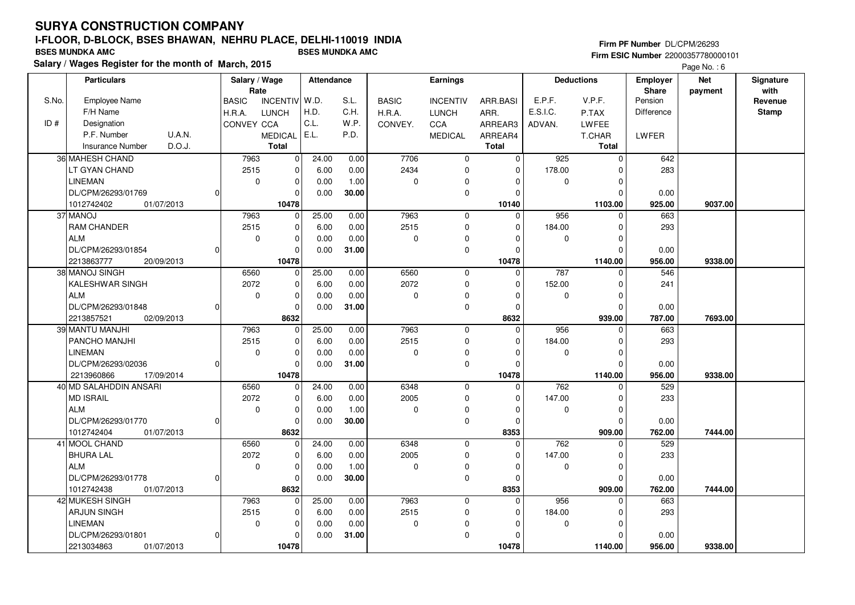#### **Firm PF Number** DL/CPM/26293 **Firm ESIC Number** 22000357780000101

|       | <b>Particulars</b>                |                | Salary / Wage<br>Rate |                 | Attendance |       |              | <b>Earnings</b> |                |             | <b>Deductions</b> | <b>Employer</b><br>Share | <b>Net</b> | Signature<br>with |
|-------|-----------------------------------|----------------|-----------------------|-----------------|------------|-------|--------------|-----------------|----------------|-------------|-------------------|--------------------------|------------|-------------------|
| S.No. | <b>Employee Name</b>              |                | <b>BASIC</b>          | <b>INCENTIV</b> | W.D.       | S.L.  | <b>BASIC</b> | <b>INCENTIV</b> | ARR.BASI       | E.P.F.      | V.P.F.            | Pension                  | payment    | Revenue           |
|       | F/H Name                          |                | H.R.A.                | <b>LUNCH</b>    | H.D.       | C.H.  | H.R.A.       | <b>LUNCH</b>    | ARR.           | E.S.I.C.    | P.TAX             | <b>Difference</b>        |            | <b>Stamp</b>      |
| ID#   | Designation                       |                | CONVEY CCA            |                 | C.L.       | W.P.  | CONVEY.      | CCA             | ARREAR3        | ADVAN.      | <b>LWFEE</b>      |                          |            |                   |
|       | <b>U.A.N.</b><br>P.F. Number      |                |                       | <b>MEDICAL</b>  | E.L.       | P.D.  |              | <b>MEDICAL</b>  | ARREAR4        |             | T.CHAR            | LWFER                    |            |                   |
|       | D.O.J.<br><b>Insurance Number</b> |                |                       | <b>Total</b>    |            |       |              |                 | <b>Total</b>   |             | Total             |                          |            |                   |
|       | 36 MAHESH CHAND                   |                | 7963                  | $\mathbf 0$     | 24.00      | 0.00  | 7706         | $\mathbf 0$     | $\overline{0}$ | 925         | $\mathbf 0$       | 642                      |            |                   |
|       | LT GYAN CHAND                     |                | 2515                  | 0               | 6.00       | 0.00  | 2434         | $\mathbf 0$     | $\mathbf 0$    | 178.00      | $\Omega$          | 283                      |            |                   |
|       | <b>LINEMAN</b>                    |                | $\mathbf 0$           | $\mathbf 0$     | 0.00       | 1.00  | 0            | $\Omega$        | $\Omega$       | 0           | $\Omega$          |                          |            |                   |
|       | DL/CPM/26293/01769                |                |                       | $\Omega$        | 0.00       | 30.00 |              | $\mathbf 0$     | $\Omega$       |             | $\Omega$          | 0.00                     |            |                   |
|       | 1012742402<br>01/07/2013          |                |                       | 10478           |            |       |              |                 | 10140          |             | 1103.00           | 925.00                   | 9037.00    |                   |
|       | 37 MANOJ                          |                | 7963                  | $\mathbf 0$     | 25.00      | 0.00  | 7963         | $\mathbf 0$     | $\Omega$       | 956         | $\Omega$          | 663                      |            |                   |
|       | <b>RAM CHANDER</b>                |                | 2515                  | $\mathbf 0$     | 6.00       | 0.00  | 2515         | $\mathbf 0$     | $\mathbf 0$    | 184.00      | $\Omega$          | 293                      |            |                   |
|       | <b>ALM</b>                        |                | $\mathbf 0$           | $\mathbf 0$     | 0.00       | 0.00  | 0            | $\Omega$        | $\Omega$       | 0           | $\Omega$          |                          |            |                   |
|       | DL/CPM/26293/01854                | $\Omega$       |                       | $\mathbf{0}$    | 0.00       | 31.00 |              | $\mathbf 0$     | 0              |             | $\Omega$          | 0.00                     |            |                   |
|       | 20/09/2013<br>2213863777          |                |                       | 10478           |            |       |              |                 | 10478          |             | 1140.00           | 956.00                   | 9338.00    |                   |
|       | 38 MANOJ SINGH                    |                | 6560                  | 0               | 25.00      | 0.00  | 6560         | $\mathbf 0$     | $\mathbf 0$    | 787         | $\Omega$          | 546                      |            |                   |
|       | <b>KALESHWAR SINGH</b>            |                | 2072                  | $\mathbf 0$     | 6.00       | 0.00  | 2072         | $\mathbf 0$     | $\mathbf 0$    | 152.00      | $\Omega$          | 241                      |            |                   |
|       | <b>ALM</b>                        |                | 0                     | 0               | 0.00       | 0.00  | 0            | $\pmb{0}$       | $\Omega$       | 0           | $\mathbf 0$       |                          |            |                   |
|       | DL/CPM/26293/01848                | U              |                       | $\Omega$        | 0.00       | 31.00 |              | $\pmb{0}$       | $\Omega$       |             | $\Omega$          | 0.00                     |            |                   |
|       | 2213857521<br>02/09/2013          |                |                       | 8632            |            |       |              |                 | 8632           |             | 939.00            | 787.00                   | 7693.00    |                   |
|       | 39 MANTU MANJHI                   |                | 7963                  | $\mathbf 0$     | 25.00      | 0.00  | 7963         | $\mathbf 0$     | $\mathbf 0$    | 956         | $\mathbf 0$       | 663                      |            |                   |
|       | PANCHO MANJHI                     |                | 2515                  | $\mathbf 0$     | 6.00       | 0.00  | 2515         | $\mathbf 0$     | 0              | 184.00      | $\Omega$          | 293                      |            |                   |
|       | <b>LINEMAN</b>                    |                | $\mathbf 0$           | $\mathbf 0$     | 0.00       | 0.00  | 0            | $\mathbf 0$     | $\Omega$       | $\mathbf 0$ | $\Omega$          |                          |            |                   |
|       | DL/CPM/26293/02036                |                |                       | $\mathbf 0$     | 0.00       | 31.00 |              | $\mathbf 0$     | $\Omega$       |             | $\Omega$          | 0.00                     |            |                   |
|       | 2213960866<br>17/09/2014          |                |                       | 10478           |            |       |              |                 | 10478          |             | 1140.00           | 956.00                   | 9338.00    |                   |
|       | 40 MD SALAHDDIN ANSARI            |                | 6560                  | 0               | 24.00      | 0.00  | 6348         | $\mathbf 0$     | $\Omega$       | 762         | $\Omega$          | 529                      |            |                   |
|       | <b>MD ISRAIL</b>                  |                | 2072                  | $\mathbf 0$     | 6.00       | 0.00  | 2005         | $\mathbf 0$     | $\Omega$       | 147.00      | $\Omega$          | 233                      |            |                   |
|       | <b>ALM</b>                        |                | 0                     | 0               | 0.00       | 1.00  | 0            | 0               | 0              | 0           | $\mathbf 0$       |                          |            |                   |
|       | DL/CPM/26293/01770                | $\overline{0}$ |                       | 0               | 0.00       | 30.00 |              | $\mathbf 0$     | $\mathbf 0$    |             | $\Omega$          | 0.00                     |            |                   |
|       | 1012742404<br>01/07/2013          |                |                       | 8632            |            |       |              |                 | 8353           |             | 909.00            | 762.00                   | 7444.00    |                   |
|       | 41 MOOL CHAND                     |                | 6560                  | 0               | 24.00      | 0.00  | 6348         | $\mathbf 0$     | $\Omega$       | 762         | $\Omega$          | 529                      |            |                   |
|       | <b>BHURA LAL</b>                  |                | 2072                  | 0               | 6.00       | 0.00  | 2005         | $\mathbf 0$     | 0              | 147.00      | $\Omega$          | 233                      |            |                   |
|       | <b>ALM</b>                        |                | $\mathbf 0$           | $\mathbf 0$     | 0.00       | 1.00  | 0            | 0               | 0              | 0           | $\Omega$          |                          |            |                   |
|       | DL/CPM/26293/01778                | $\Omega$       |                       | $\mathbf 0$     | 0.00       | 30.00 |              | $\mathbf 0$     | $\Omega$       |             | $\Omega$          | 0.00                     |            |                   |
|       | 1012742438<br>01/07/2013          |                |                       | 8632            |            |       |              |                 | 8353           |             | 909.00            | 762.00                   | 7444.00    |                   |
|       | 42 MUKESH SINGH                   |                | 7963                  | $\mathbf 0$     | 25.00      | 0.00  | 7963         | $\mathbf 0$     | $\Omega$       | 956         | $\mathbf 0$       | 663                      |            |                   |
|       | <b>ARJUN SINGH</b>                |                | 2515                  | $\mathbf 0$     | 6.00       | 0.00  | 2515         | $\mathbf 0$     | $\Omega$       | 184.00      | $\Omega$          | 293                      |            |                   |
|       | <b>LINEMAN</b>                    |                | $\mathbf 0$           | 0               | 0.00       | 0.00  | 0            | $\Omega$        | $\Omega$       | 0           | $\Omega$          |                          |            |                   |
|       | DL/CPM/26293/01801                | $\Omega$       |                       | $\Omega$        | 0.00       | 31.00 |              | $\mathbf 0$     | $\Omega$       |             | $\Omega$          | 0.00                     |            |                   |
|       | 2213034863<br>01/07/2013          |                |                       | 10478           |            |       |              |                 | 10478          |             | 1140.00           | 956.00                   | 9338.00    |                   |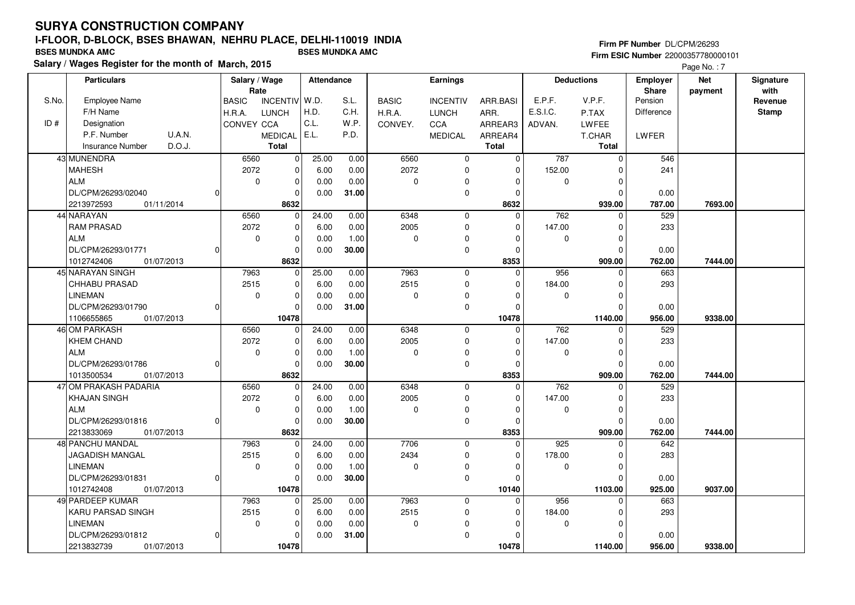#### **Firm PF Number** DL/CPM/26293 **Firm ESIC Number** 22000357780000101

|       | <b>Particulars</b>                |          | Salary / Wage<br>Rate |                | Attendance |       |              | Earnings        |              |          | <b>Deductions</b> | <b>Employer</b><br><b>Share</b> | <b>Net</b> | Signature<br>with |
|-------|-----------------------------------|----------|-----------------------|----------------|------------|-------|--------------|-----------------|--------------|----------|-------------------|---------------------------------|------------|-------------------|
| S.No. | Employee Name                     |          | <b>BASIC</b>          | INCENTIV W.D.  |            | S.L.  | <b>BASIC</b> | <b>INCENTIV</b> | ARR.BASI     | E.P.F.   | V.P.F.            | Pension                         | payment    | Revenue           |
|       | F/H Name                          |          | H.R.A.                | <b>LUNCH</b>   | H.D.       | C.H.  | H.R.A.       | <b>LUNCH</b>    | ARR.         | E.S.I.C. | P.TAX             | Difference                      |            | <b>Stamp</b>      |
| ID#   | Designation                       |          | CONVEY CCA            |                | C.L.       | W.P.  | CONVEY.      | <b>CCA</b>      | ARREAR3      | ADVAN.   | <b>LWFEE</b>      |                                 |            |                   |
|       | U.A.N.<br>P.F. Number             |          |                       | <b>MEDICAL</b> | E.L.       | P.D.  |              | <b>MEDICAL</b>  | ARREAR4      |          | T.CHAR            | LWFER                           |            |                   |
|       | D.O.J.<br><b>Insurance Number</b> |          |                       | Total          |            |       |              |                 | <b>Total</b> |          | <b>Total</b>      |                                 |            |                   |
|       | 43 MUNENDRA                       |          | 6560                  | $\pmb{0}$      | 25.00      | 0.00  | 6560         | $\mathbf 0$     | 0            | 787      | $\mathbf 0$       | 546                             |            |                   |
|       | <b>MAHESH</b>                     |          | 2072                  | $\pmb{0}$      | 6.00       | 0.00  | 2072         | $\mathbf 0$     | $\Omega$     | 152.00   | $\Omega$          | 241                             |            |                   |
|       | <b>ALM</b>                        |          | $\mathbf 0$           | $\pmb{0}$      | 0.00       | 0.00  | 0            | 0               | $\Omega$     | 0        | $\mathbf 0$       |                                 |            |                   |
|       | DL/CPM/26293/02040                | $\Omega$ |                       | $\Omega$       | 0.00       | 31.00 |              | $\mathbf 0$     | $\Omega$     |          | $\Omega$          | 0.00                            |            |                   |
|       | 2213972593<br>01/11/2014          |          |                       | 8632           |            |       |              |                 | 8632         |          | 939.00            | 787.00                          | 7693.00    |                   |
|       | 44 NARAYAN                        |          | 6560                  | 0              | 24.00      | 0.00  | 6348         | $\mathbf 0$     | $\Omega$     | 762      | $\Omega$          | 529                             |            |                   |
|       | <b>RAM PRASAD</b>                 |          | 2072                  | $\pmb{0}$      | 6.00       | 0.00  | 2005         | $\mathbf 0$     | $\Omega$     | 147.00   | $\mathbf 0$       | 233                             |            |                   |
|       | <b>ALM</b>                        |          | $\mathbf 0$           | $\mathbf 0$    | 0.00       | 1.00  | 0            | 0               | $\Omega$     | 0        | $\mathbf 0$       |                                 |            |                   |
|       | DL/CPM/26293/01771                | $\Omega$ |                       | $\Omega$       | 0.00       | 30.00 |              | $\mathbf 0$     | 0            |          | $\Omega$          | 0.00                            |            |                   |
|       | 1012742406<br>01/07/2013          |          |                       | 8632           |            |       |              |                 | 8353         |          | 909.00            | 762.00                          | 7444.00    |                   |
|       | 45 NARAYAN SINGH                  |          | 7963                  | $\mathbf 0$    | 25.00      | 0.00  | 7963         | $\mathbf 0$     | $\mathbf 0$  | 956      | $\mathbf 0$       | 663                             |            |                   |
|       | CHHABU PRASAD                     |          | 2515                  | $\pmb{0}$      | 6.00       | 0.00  | 2515         | $\mathbf 0$     | $\Omega$     | 184.00   | $\Omega$          | 293                             |            |                   |
|       | <b>LINEMAN</b>                    |          | $\mathbf 0$           | $\mathbf 0$    | 0.00       | 0.00  | 0            | 0               | $\Omega$     | 0        | $\mathbf 0$       |                                 |            |                   |
|       | DL/CPM/26293/01790                | 0        |                       | $\mathbf 0$    | 0.00       | 31.00 |              | $\mathbf 0$     | $\Omega$     |          | $\Omega$          | 0.00                            |            |                   |
|       | 1106655865<br>01/07/2013          |          |                       | 10478          |            |       |              |                 | 10478        |          | 1140.00           | 956.00                          | 9338.00    |                   |
|       | 46 OM PARKASH                     |          | 6560                  | 0              | 24.00      | 0.00  | 6348         | $\mathbf 0$     | 0            | 762      | $\mathbf 0$       | 529                             |            |                   |
|       | <b>KHEM CHAND</b>                 |          | 2072                  | 0              | 6.00       | 0.00  | 2005         | $\mathbf 0$     | $\Omega$     | 147.00   | $\Omega$          | 233                             |            |                   |
|       | <b>ALM</b>                        |          | $\mathbf 0$           | $\mathbf 0$    | 0.00       | 1.00  | $\mathbf 0$  | $\mathbf 0$     | $\Omega$     | 0        | $\mathbf 0$       |                                 |            |                   |
|       | DL/CPM/26293/01786                | $\Omega$ |                       | $\mathbf 0$    | 0.00       | 30.00 |              | $\mathbf 0$     | $\Omega$     |          | $\Omega$          | 0.00                            |            |                   |
|       | 1013500534<br>01/07/2013          |          |                       | 8632           |            |       |              |                 | 8353         |          | 909.00            | 762.00                          | 7444.00    |                   |
|       | 47 OM PRAKASH PADARIA             |          | 6560                  | 0              | 24.00      | 0.00  | 6348         | $\mathbf 0$     | $\mathbf 0$  | 762      | $\Omega$          | 529                             |            |                   |
|       | <b>KHAJAN SINGH</b>               |          | 2072                  | $\pmb{0}$      | 6.00       | 0.00  | 2005         | $\mathbf 0$     | $\Omega$     | 147.00   | $\mathbf 0$       | 233                             |            |                   |
|       | <b>ALM</b>                        |          | $\mathbf 0$           | $\mathbf 0$    | 0.00       | 1.00  | $\mathbf 0$  | 0               | $\Omega$     | 0        | $\mathbf 0$       |                                 |            |                   |
|       | DL/CPM/26293/01816                | $\Omega$ |                       | $\mathbf 0$    | 0.00       | 30.00 |              | $\mathbf 0$     | 0            |          | $\mathbf 0$       | 0.00                            |            |                   |
|       | 2213833069<br>01/07/2013          |          |                       | 8632           |            |       |              |                 | 8353         |          | 909.00            | 762.00                          | 7444.00    |                   |
|       | 48 PANCHU MANDAL                  |          | 7963                  | 0              | 24.00      | 0.00  | 7706         | $\mathbf 0$     | $\Omega$     | 925      | $\Omega$          | 642                             |            |                   |
|       | JAGADISH MANGAL                   |          | 2515                  | $\pmb{0}$      | 6.00       | 0.00  | 2434         | $\mathbf 0$     | $\Omega$     | 178.00   | $\Omega$          | 283                             |            |                   |
|       | <b>LINEMAN</b>                    |          | $\Omega$              | $\mathbf 0$    | 0.00       | 1.00  | $\mathbf 0$  | $\mathbf 0$     | $\Omega$     | 0        | $\Omega$          |                                 |            |                   |
|       | DL/CPM/26293/01831                | $\Omega$ |                       | $\mathbf 0$    | 0.00       | 30.00 |              | $\mathbf 0$     | $\Omega$     |          | $\Omega$          | 0.00                            |            |                   |
|       | 1012742408<br>01/07/2013          |          |                       | 10478          |            |       |              |                 | 10140        |          | 1103.00           | 925.00                          | 9037.00    |                   |
|       | 49 PARDEEP KUMAR                  |          | 7963                  | $\mathbf 0$    | 25.00      | 0.00  | 7963         | $\mathbf 0$     | $\Omega$     | 956      | $\Omega$          | 663                             |            |                   |
|       | KARU PARSAD SINGH                 |          | 2515                  | $\mathbf 0$    | 6.00       | 0.00  | 2515         | $\mathbf 0$     | $\Omega$     | 184.00   | $\Omega$          | 293                             |            |                   |
|       | <b>LINEMAN</b>                    |          | $\mathbf 0$           | $\mathbf 0$    | 0.00       | 0.00  | 0            | 0               | $\Omega$     | 0        | $\mathbf 0$       |                                 |            |                   |
|       | DL/CPM/26293/01812                | $\Omega$ |                       | $\Omega$       | 0.00       | 31.00 |              | $\pmb{0}$       |              |          | $\Omega$          | 0.00                            |            |                   |
|       | 2213832739<br>01/07/2013          |          |                       | 10478          |            |       |              |                 | 10478        |          | 1140.00           | 956.00                          | 9338.00    |                   |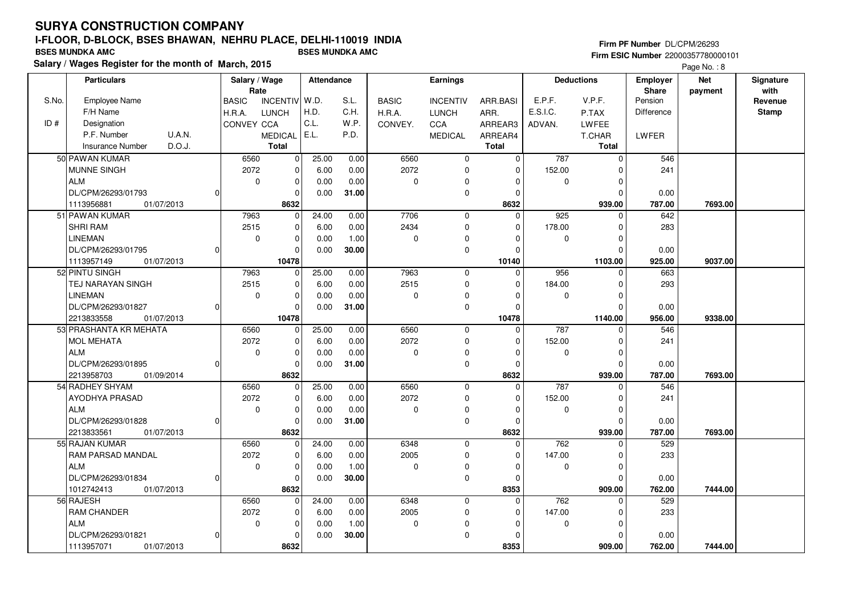#### **Firm PF Number** DL/CPM/26293 **Firm ESIC Number** 22000357780000101

|       | <b>Particulars</b>                | Salary / Wage<br>Rate |                            | <b>Attendance</b> |       |              | <b>Earnings</b> |              |             | <b>Deductions</b> | Employer<br>Share | <b>Net</b> | Signature<br>with |
|-------|-----------------------------------|-----------------------|----------------------------|-------------------|-------|--------------|-----------------|--------------|-------------|-------------------|-------------------|------------|-------------------|
| S.No. | Employee Name                     | <b>BASIC</b>          | <b>INCENTIV</b>            | W.D.              | S.L.  | <b>BASIC</b> | <b>INCENTIV</b> | ARR.BASI     | E.P.F.      | V.P.F.            | Pension           | payment    | Revenue           |
|       | F/H Name                          | H.R.A.                | <b>LUNCH</b>               | H.D.              | C.H.  | H.R.A.       | <b>LUNCH</b>    | ARR.         | E.S.I.C.    | P.TAX             | <b>Difference</b> |            | <b>Stamp</b>      |
| ID#   | Designation                       | CONVEY CCA            |                            | C.L.              | W.P.  | CONVEY.      | CCA             | ARREAR3      | ADVAN.      | LWFEE             |                   |            |                   |
|       | P.F. Number<br><b>U.A.N.</b>      |                       | <b>MEDICAL</b>             | E.L.              | P.D.  |              | <b>MEDICAL</b>  | ARREAR4      |             | T.CHAR            | LWFER             |            |                   |
|       | D.O.J.<br><b>Insurance Number</b> |                       | <b>Total</b>               |                   |       |              |                 | <b>Total</b> |             | Total             |                   |            |                   |
|       |                                   |                       |                            |                   |       |              |                 |              |             |                   |                   |            |                   |
|       | 50 PAWAN KUMAR                    | 6560                  | 0                          | 25.00             | 0.00  | 6560         | $\mathbf{0}$    | $\mathbf 0$  | 787         | $\mathbf 0$       | 546               |            |                   |
|       | <b>MUNNE SINGH</b>                | 2072                  | 0                          | 6.00              | 0.00  | 2072         | $\mathbf 0$     | $\mathbf 0$  | 152.00      | $\Omega$          | 241               |            |                   |
|       | <b>ALM</b>                        | $\mathbf 0$           | 0                          | 0.00              | 0.00  | 0            | 0               | 0            | 0           | $\Omega$          |                   |            |                   |
|       | DL/CPM/26293/01793                | n                     | $\mathbf 0$                | 0.00              | 31.00 |              | $\mathbf 0$     | $\Omega$     |             | $\Omega$          | 0.00              |            |                   |
|       | 1113956881<br>01/07/2013          |                       | 8632                       |                   |       |              |                 | 8632         |             | 939.00            | 787.00            | 7693.00    |                   |
|       | 51 PAWAN KUMAR                    | 7963                  | $\mathbf 0$                | 24.00             | 0.00  | 7706         | $\mathbf 0$     | $\Omega$     | 925         | $\mathbf 0$       | 642               |            |                   |
|       | <b>SHRI RAM</b>                   | 2515                  | 0                          | 6.00              | 0.00  | 2434         | $\mathbf 0$     | $\Omega$     | 178.00      | $\Omega$          | 283               |            |                   |
|       | <b>LINEMAN</b>                    |                       | $\mathbf 0$<br>$\mathbf 0$ | 0.00              | 1.00  | 0            | $\Omega$        | $\Omega$     | $\mathbf 0$ | $\Omega$          |                   |            |                   |
|       | DL/CPM/26293/01795                | $\Omega$              | $\Omega$                   | 0.00              | 30.00 |              | $\mathbf 0$     | $\Omega$     |             | $\Omega$          | 0.00              |            |                   |
|       | 1113957149<br>01/07/2013          |                       | 10478                      |                   |       |              |                 | 10140        |             | 1103.00           | 925.00            | 9037.00    |                   |
|       | 52 PINTU SINGH                    | 7963                  | $\Omega$                   | 25.00             | 0.00  | 7963         | $\mathbf 0$     | $\Omega$     | 956         | $\Omega$          | 663               |            |                   |
|       | TEJ NARAYAN SINGH                 | 2515                  | 0                          | 6.00              | 0.00  | 2515         | $\mathbf 0$     | $\mathbf 0$  | 184.00      | $\Omega$          | 293               |            |                   |
|       | <b>LINEMAN</b>                    |                       | $\mathbf 0$<br>0           | 0.00              | 0.00  | 0            | 0               | $\Omega$     | 0           | $\Omega$          |                   |            |                   |
|       | DL/CPM/26293/01827                | $\Omega$              | $\mathbf 0$                | 0.00              | 31.00 |              | $\pmb{0}$       | 0            |             | $\Omega$          | 0.00              |            |                   |
|       | 01/07/2013<br>2213833558          |                       | 10478                      |                   |       |              |                 | 10478        |             | 1140.00           | 956.00            | 9338.00    |                   |
|       | 53 PRASHANTA KR MEHATA            | 6560                  | 0                          | 25.00             | 0.00  | 6560         | $\mathbf 0$     | $\mathbf 0$  | 787         | 0                 | 546               |            |                   |
|       | <b>MOL MEHATA</b>                 | 2072                  | 0                          | 6.00              | 0.00  | 2072         | $\mathbf 0$     | 0            | 152.00      | $\Omega$          | 241               |            |                   |
|       | <b>ALM</b>                        |                       | $\mathbf 0$<br>$\mathbf 0$ | 0.00              | 0.00  | 0            | $\mathbf 0$     | $\Omega$     | 0           | $\Omega$          |                   |            |                   |
|       | DL/CPM/26293/01895                | $\Omega$              | $\mathbf 0$                | 0.00              | 31.00 |              | $\mathbf 0$     | $\Omega$     |             | $\Omega$          | 0.00              |            |                   |
|       | 2213958703<br>01/09/2014          |                       | 8632                       |                   |       |              |                 | 8632         |             | 939.00            | 787.00            | 7693.00    |                   |
|       | 54 RADHEY SHYAM                   | 6560                  | 0                          | 25.00             | 0.00  | 6560         | $\mathbf 0$     | $\Omega$     | 787         | $\Omega$          | 546               |            |                   |
|       | <b>AYODHYA PRASAD</b>             | 2072                  | $\mathbf 0$                | 6.00              | 0.00  | 2072         | $\mathbf 0$     | $\Omega$     | 152.00      | $\Omega$          | 241               |            |                   |
|       | <b>ALM</b>                        |                       | 0<br>$\mathbf 0$           | 0.00              | 0.00  | 0            | 0               | 0            | 0           | $\mathbf 0$       |                   |            |                   |
|       | DL/CPM/26293/01828                | $\Omega$              | 0                          | 0.00              | 31.00 |              | $\pmb{0}$       | 0            |             | $\Omega$          | 0.00              |            |                   |
|       | 2213833561<br>01/07/2013          |                       | 8632                       |                   |       |              |                 | 8632         |             | 939.00            | 787.00            | 7693.00    |                   |
|       | 55 RAJAN KUMAR                    | 6560                  | $\mathbf 0$                | 24.00             | 0.00  | 6348         | $\mathbf 0$     | $\Omega$     | 762         | $\Omega$          | 529               |            |                   |
|       | RAM PARSAD MANDAL                 | 2072                  | $\mathbf 0$                | 6.00              | 0.00  | 2005         | $\mathbf 0$     | $\Omega$     | 147.00      | $\Omega$          | 233               |            |                   |
|       | <b>ALM</b>                        | $\mathbf 0$           | 0                          | 0.00              | 1.00  | 0            | 0               | 0            | 0           | $\Omega$          |                   |            |                   |
|       | DL/CPM/26293/01834                | $\Omega$              | $\mathbf 0$                | 0.00              | 30.00 |              | $\mathbf 0$     | $\Omega$     |             | $\Omega$          | 0.00              |            |                   |
|       | 01/07/2013<br>1012742413          |                       | 8632                       |                   |       |              |                 | 8353         |             | 909.00            | 762.00            | 7444.00    |                   |
|       | 56 RAJESH                         | 6560                  | $\mathbf{0}$               | 24.00             | 0.00  | 6348         | $\mathbf 0$     | $\mathbf 0$  | 762         | $\Omega$          | 529               |            |                   |
|       | RAM CHANDER                       | 2072                  | 0                          |                   | 0.00  | 2005         | 0               | $\Omega$     | 147.00      | $\Omega$          | 233               |            |                   |
|       | <b>ALM</b>                        |                       |                            | 6.00              | 1.00  |              | $\Omega$        | $\Omega$     |             | $\Omega$          |                   |            |                   |
|       |                                   |                       | 0<br>0                     | 0.00              |       | 0            |                 |              | 0           | $\Omega$          |                   |            |                   |
|       | DL/CPM/26293/01821                | 0                     | 0                          | 0.00              | 30.00 |              | $\mathbf 0$     | $\Omega$     |             |                   | 0.00              |            |                   |
|       | 1113957071<br>01/07/2013          |                       | 8632                       |                   |       |              |                 | 8353         |             | 909.00            | 762.00            | 7444.00    |                   |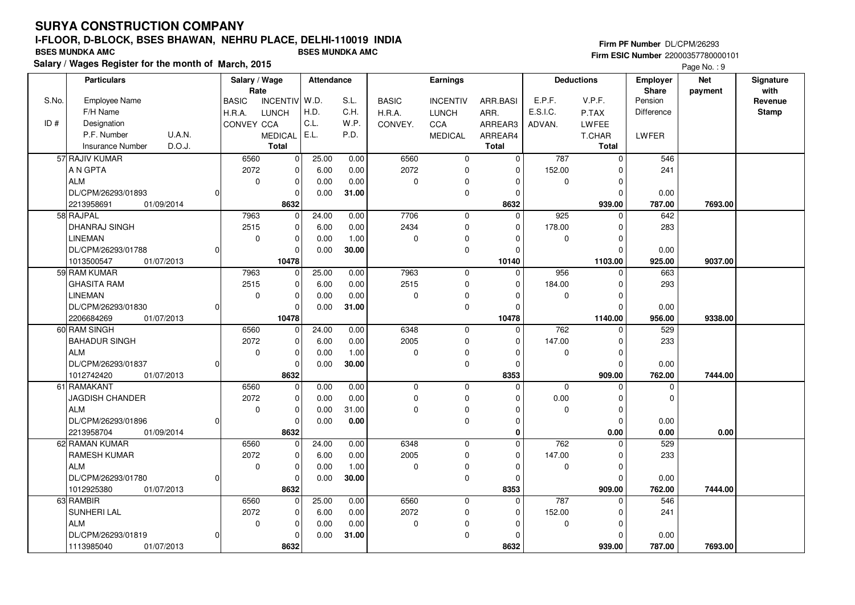#### **Firm PF Number** DL/CPM/26293 **Firm ESIC Number** 22000357780000101

|       | <b>Particulars</b>                | Salary / Wage<br>Rate |                 | Attendance |       |              | Earnings        |              |          | <b>Deductions</b> | <b>Employer</b><br><b>Share</b> | <b>Net</b> | Signature<br>with |
|-------|-----------------------------------|-----------------------|-----------------|------------|-------|--------------|-----------------|--------------|----------|-------------------|---------------------------------|------------|-------------------|
| S.No. | Employee Name                     | <b>BASIC</b>          | <b>INCENTIV</b> | W.D.       | S.L.  | <b>BASIC</b> | <b>INCENTIV</b> | ARR.BASI     | E.P.F.   | V.P.F.            | Pension                         | payment    | Revenue           |
|       | F/H Name                          | H.R.A.                | <b>LUNCH</b>    | H.D.       | C.H.  | H.R.A.       | <b>LUNCH</b>    | ARR.         | E.S.I.C. | P.TAX             | Difference                      |            | <b>Stamp</b>      |
| ID#   | Designation                       | CONVEY CCA            |                 | C.L.       | W.P.  | CONVEY.      | CCA             | ARREAR3      | ADVAN.   | LWFEE             |                                 |            |                   |
|       | P.F. Number<br><b>U.A.N.</b>      |                       | <b>MEDICAL</b>  | E.L.       | P.D.  |              | <b>MEDICAL</b>  | ARREAR4      |          | T.CHAR            | LWFER                           |            |                   |
|       | D.O.J.<br><b>Insurance Number</b> |                       | <b>Total</b>    |            |       |              |                 | <b>Total</b> |          | <b>Total</b>      |                                 |            |                   |
|       | 57 RAJIV KUMAR                    | 6560                  | $\Omega$        | 25.00      | 0.00  | 6560         | $\mathbf 0$     | 0            | 787      | $\Omega$          | 546                             |            |                   |
|       | A N GPTA                          | 2072                  | $\mathbf 0$     | 6.00       | 0.00  | 2072         | $\mathbf 0$     | 0            | 152.00   | $\Omega$          | 241                             |            |                   |
|       | <b>ALM</b>                        | $\mathbf 0$           | $\mathbf 0$     | 0.00       | 0.00  | 0            | 0               | 0            | 0        | 0                 |                                 |            |                   |
|       | DL/CPM/26293/01893                |                       | $\mathbf 0$     | 0.00       | 31.00 |              | $\mathbf 0$     | $\Omega$     |          | $\Omega$          | 0.00                            |            |                   |
|       | 2213958691<br>01/09/2014          |                       | 8632            |            |       |              |                 | 8632         |          | 939.00            | 787.00                          | 7693.00    |                   |
|       | 58 RAJPAL                         | 7963                  | $\mathbf 0$     | 24.00      | 0.00  | 7706         | $\mathbf 0$     | $\mathbf 0$  | 925      | $\mathbf 0$       | 642                             |            |                   |
|       | <b>DHANRAJ SINGH</b>              | 2515                  | $\mathbf 0$     | 6.00       | 0.00  | 2434         | $\mathbf 0$     | $\Omega$     | 178.00   | $\mathbf 0$       | 283                             |            |                   |
|       | <b>LINEMAN</b>                    | $\mathbf 0$           | $\mathbf 0$     | 0.00       | 1.00  | 0            | $\Omega$        | $\Omega$     | 0        | $\mathbf 0$       |                                 |            |                   |
|       | DL/CPM/26293/01788                |                       | $\Omega$        | 0.00       | 30.00 |              | $\mathbf 0$     | $\Omega$     |          | $\Omega$          | 0.00                            |            |                   |
|       | 1013500547<br>01/07/2013          |                       | 10478           |            |       |              |                 | 10140        |          | 1103.00           | 925.00                          | 9037.00    |                   |
|       | 59 RAM KUMAR                      | 7963                  | $\mathbf 0$     | 25.00      | 0.00  | 7963         | $\mathbf 0$     | $\mathbf 0$  | 956      | $\mathbf 0$       | 663                             |            |                   |
|       | <b>GHASITA RAM</b>                | 2515                  | $\mathbf 0$     | 6.00       | 0.00  | 2515         | $\mathbf 0$     | 0            | 184.00   | $\mathbf 0$       | 293                             |            |                   |
|       | <b>LINEMAN</b>                    | $\mathbf 0$           | $\mathbf 0$     | 0.00       | 0.00  | 0            | 0               | $\Omega$     | 0        | $\mathbf 0$       |                                 |            |                   |
|       | DL/CPM/26293/01830                | <sup>0</sup>          | $\Omega$        | 0.00       | 31.00 |              | $\mathbf 0$     | $\Omega$     |          | $\Omega$          | 0.00                            |            |                   |
|       | 01/07/2013<br>2206684269          |                       | 10478           |            |       |              |                 | 10478        |          | 1140.00           | 956.00                          | 9338.00    |                   |
|       | 60 RAM SINGH                      | 6560                  | 0               | 24.00      | 0.00  | 6348         | $\mathbf 0$     | $\mathbf 0$  | 762      | $\mathbf 0$       | 529                             |            |                   |
|       | <b>BAHADUR SINGH</b>              | 2072                  | $\mathbf 0$     | 6.00       | 0.00  | 2005         | $\mathbf 0$     | $\Omega$     | 147.00   | $\Omega$          | 233                             |            |                   |
|       | <b>ALM</b>                        | $\mathbf 0$           | $\mathbf 0$     | 0.00       | 1.00  | 0            | $\mathbf 0$     | $\Omega$     | 0        | $\mathbf 0$       |                                 |            |                   |
|       | DL/CPM/26293/01837                |                       | $\Omega$        | 0.00       | 30.00 |              | $\mathbf 0$     | $\Omega$     |          | $\mathbf 0$       | 0.00                            |            |                   |
|       | 1012742420<br>01/07/2013          |                       | 8632            |            |       |              |                 | 8353         |          | 909.00            | 762.00                          | 7444.00    |                   |
|       | 61 RAMAKANT                       | 6560                  | $\mathbf 0$     | 0.00       | 0.00  | 0            | $\mathbf 0$     | 0            | 0        | $\Omega$          | $\mathbf 0$                     |            |                   |
|       | JAGDISH CHANDER                   | 2072                  | 0               | 0.00       | 0.00  | 0            | $\mathbf 0$     | O            | $0.00\,$ | $\mathbf 0$       | $\mathbf 0$                     |            |                   |
|       | <b>ALM</b>                        | 0                     | $\mathbf 0$     | 0.00       | 31.00 | $\mathbf 0$  | $\mathbf 0$     | $\Omega$     | $\Omega$ | $\overline{0}$    |                                 |            |                   |
|       | DL/CPM/26293/01896                |                       | $\mathbf 0$     | 0.00       | 0.00  |              | $\mathbf 0$     | 0            |          | $\mathbf 0$       | 0.00                            |            |                   |
|       | 2213958704<br>01/09/2014          |                       | 8632            |            |       |              |                 | 0            |          | 0.00              | 0.00                            | 0.00       |                   |
|       | 62 RAMAN KUMAR                    | 6560                  | $\mathbf 0$     | 24.00      | 0.00  | 6348         | $\mathbf 0$     | $\Omega$     | 762      | $\Omega$          | 529                             |            |                   |
|       | <b>RAMESH KUMAR</b>               | 2072                  | $\mathbf 0$     | 6.00       | 0.00  | 2005         | $\mathbf 0$     | $\Omega$     | 147.00   | $\mathbf 0$       | 233                             |            |                   |
|       | <b>ALM</b>                        | $\mathbf 0$           | $\mathbf 0$     | 0.00       | 1.00  | 0            | 0               | $\Omega$     | 0        | $\Omega$          |                                 |            |                   |
|       | DL/CPM/26293/01780                | $\Omega$              | $\mathbf 0$     | 0.00       | 30.00 |              | $\mathbf 0$     | $\mathbf 0$  |          | $\mathbf 0$       | 0.00                            |            |                   |
|       | 1012925380<br>01/07/2013          |                       | 8632            |            |       |              |                 | 8353         |          | 909.00            | 762.00                          | 7444.00    |                   |
|       | 63 RAMBIR                         | 6560                  | $\mathbf 0$     | 25.00      | 0.00  | 6560         | $\mathbf 0$     | $\Omega$     | 787      | $\Omega$          | 546                             |            |                   |
|       | SUNHERI LAL                       | 2072                  | $\mathbf 0$     | 6.00       | 0.00  | 2072         | $\mathbf 0$     | $\Omega$     | 152.00   | $\Omega$          | 241                             |            |                   |
|       | <b>ALM</b>                        | $\mathbf 0$           | 0               | 0.00       | 0.00  | 0            | 0               | $\Omega$     | 0        | 0                 |                                 |            |                   |
|       | DL/CPM/26293/01819                |                       | $\Omega$        | 0.00       | 31.00 |              | $\mathbf 0$     |              |          | $\Omega$          | 0.00                            |            |                   |
|       | 1113985040<br>01/07/2013          |                       | 8632            |            |       |              |                 | 8632         |          | 939.00            | 787.00                          | 7693.00    |                   |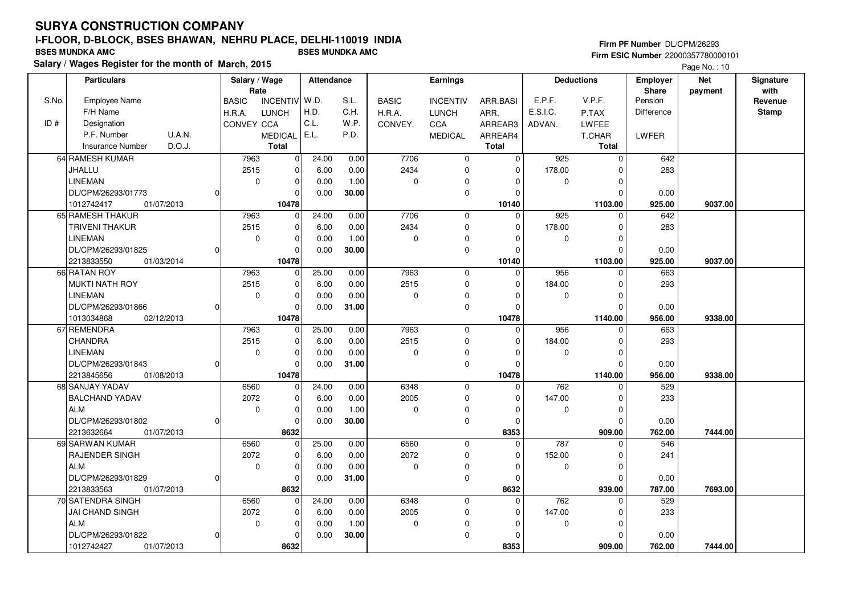#### **Firm PF Number** DL/CPM/26293 **Firm ESIC Number** 22000357780000101

|       | <b>Particulars</b>                |              | Salary / Wage<br>Rate                | <b>Attendance</b> |              |              | Earnings                   |                         |               | <b>Deductions</b>    | Employer<br>Share | <b>Net</b><br>payment | Signature<br>with |
|-------|-----------------------------------|--------------|--------------------------------------|-------------------|--------------|--------------|----------------------------|-------------------------|---------------|----------------------|-------------------|-----------------------|-------------------|
| S.No. | Employee Name                     | <b>BASIC</b> | INCENTIV W.D.                        |                   | S.L.         | <b>BASIC</b> | <b>INCENTIV</b>            | ARR.BASI                | E.P.F.        | V.P.F.               | Pension           |                       | Revenue           |
|       | F/H Name                          | H.R.A.       | <b>LUNCH</b>                         | H.D.              | C.H.         | H.R.A.       | <b>LUNCH</b>               | ARR.                    | E.S.I.C.      | P.TAX                | <b>Difference</b> |                       | <b>Stamp</b>      |
| ID#   | Designation                       | CONVEY CCA   |                                      | C.L.              | W.P.         | CONVEY.      | CCA                        | ARREAR3                 | ADVAN.        | LWFEE                |                   |                       |                   |
|       | P.F. Number<br>U.A.N.             |              | MEDICAL   E.L.                       |                   | P.D.         |              | <b>MEDICAL</b>             | ARREAR4                 |               | T.CHAR               | LWFER             |                       |                   |
|       | D.O.J.<br><b>Insurance Number</b> |              | <b>Total</b>                         |                   |              |              |                            | <b>Total</b>            |               | <b>Total</b>         |                   |                       |                   |
|       | 64 RAMESH KUMAR                   | 7963         | 0                                    | 24.00             | 0.00         | 7706         | $\mathbf 0$                | $\mathbf 0$             | 925           | $\Omega$             | 642               |                       |                   |
|       | JHALLU                            | 2515         | 0                                    | 6.00              | 0.00         | 2434         | 0                          | $\mathbf 0$             | 178.00        | $\Omega$             | 283               |                       |                   |
|       | <b>LINEMAN</b>                    |              | $\pmb{0}$<br>$\mathbf 0$             | 0.00              | 1.00         | 0            | 0                          | 0                       | 0             | 0                    |                   |                       |                   |
|       | DL/CPM/26293/01773                |              | $\Omega$                             | 0.00              | 30.00        |              | $\mathbf 0$                | $\Omega$                |               | $\Omega$             | 0.00              |                       |                   |
|       | 1012742417<br>01/07/2013          |              | 10478                                |                   |              |              |                            | 10140                   |               | 1103.00              | 925.00            | 9037.00               |                   |
|       | 65 RAMESH THAKUR                  | 7963         | $\Omega$                             | 24.00             | 0.00         | 7706         | $\mathbf 0$                | $\Omega$                | 925           | $\Omega$             | 642               |                       |                   |
|       | <b>TRIVENI THAKUR</b>             | 2515         | $\pmb{0}$                            | 6.00              | 0.00         | 2434         | $\mathbf 0$                | $\Omega$                | 178.00        | $\Omega$             | 283               |                       |                   |
|       | <b>LINEMAN</b>                    |              | $\mathbf 0$<br>$\mathbf 0$           | 0.00              | 1.00         | 0            | $\mathbf 0$                | $\Omega$                | $\mathbf 0$   | $\Omega$             |                   |                       |                   |
|       | DL/CPM/26293/01825                |              | $\Omega$                             | 0.00              | 30.00        |              | $\mathbf 0$                | $\Omega$                |               | $\Omega$             | 0.00              |                       |                   |
|       | 2213833550<br>01/03/2014          |              | 10478                                |                   |              |              |                            | 10140                   |               | 1103.00              | 925.00            | 9037.00               |                   |
|       | 66 RATAN ROY                      | 7963         | $\mathbf 0$                          | 25.00             | 0.00         | 7963         | $\mathbf 0$                | $\Omega$                | 956           | $\Omega$             | 663               |                       |                   |
|       | MUKTI NATH ROY                    | 2515         | $\mathbf 0$                          | 6.00              | 0.00         | 2515         | $\mathbf 0$                | $\Omega$                | 184.00        | $\Omega$             | 293               |                       |                   |
|       | <b>LINEMAN</b>                    |              | $\mathbf 0$<br>$\mathbf 0$           | 0.00              | 0.00         | 0            | 0                          | $\Omega$                | 0             | $\Omega$             |                   |                       |                   |
|       | DL/CPM/26293/01866                |              | $\Omega$                             | 0.00              | 31.00        |              | $\pmb{0}$                  | $\Omega$                |               | $\Omega$             | 0.00              |                       |                   |
|       | 1013034868<br>02/12/2013          |              | 10478                                |                   |              |              |                            | 10478                   |               | 1140.00              | 956.00            | 9338.00               |                   |
|       | 67 REMENDRA                       | 7963         | $\mathbf 0$                          | 25.00             | 0.00         | 7963         | $\mathbf 0$                | $\mathbf 0$             | 956           | $\Omega$             | 663               |                       |                   |
|       | CHANDRA                           | 2515         | $\mathbf 0$                          | 6.00              | 0.00         | 2515         | 0                          | $\Omega$                | 184.00        | $\Omega$             | 293               |                       |                   |
|       | <b>LINEMAN</b>                    |              | $\mathbf 0$<br>$\Omega$              | 0.00              | 0.00         | $\mathbf 0$  | 0                          | $\Omega$                | $\mathbf 0$   | $\Omega$             |                   |                       |                   |
|       | DL/CPM/26293/01843                |              | $\Omega$                             | 0.00              | 31.00        |              | $\mathbf 0$                | $\Omega$                |               | $\Omega$             | 0.00              |                       |                   |
|       | 2213845656<br>01/08/2013          |              | 10478                                |                   |              |              |                            | 10478                   |               | 1140.00              | 956.00            | 9338.00               |                   |
|       | 68 SANJAY YADAV                   | 6560         | $\Omega$                             | 24.00             | 0.00         | 6348         | $\mathbf 0$                | $\overline{0}$          | 762           |                      | 529               |                       |                   |
|       | <b>BALCHAND YADAV</b>             | 2072         | $\mathbf 0$                          | 6.00              | 0.00         | 2005         | $\mathbf 0$                | $\Omega$                | 147.00        | $\Omega$             | 233               |                       |                   |
|       | <b>ALM</b>                        |              | $\mathbf 0$<br>$\mathbf 0$           | 0.00              | 1.00         | $\mathbf 0$  | 0                          | $\Omega$                | 0             | $\mathbf 0$          |                   |                       |                   |
|       | DL/CPM/26293/01802                |              | $\mathbf 0$                          | 0.00              | 30.00        |              | $\mathbf 0$                | 0                       |               | $\Omega$             | 0.00              |                       |                   |
|       | 2213632664<br>01/07/2013          |              | 8632                                 |                   |              |              |                            | 8353                    |               | 909.00               | 762.00            | 7444.00               |                   |
|       | 69 SARWAN KUMAR                   | 6560         | 0                                    | 25.00             | 0.00         | 6560         | $\mathbf 0$                | $\Omega$                | 787           | $\Omega$             | 546               |                       |                   |
|       | RAJENDER SINGH<br><b>ALM</b>      | 2072         | $\mathbf 0$                          | 6.00              | 0.00         | 2072         | $\mathbf 0$                | $\Omega$                | 152.00        | $\Omega$             | 241               |                       |                   |
|       |                                   |              | $\pmb{0}$<br>$\mathbf 0$<br>$\Omega$ | 0.00              | 0.00         | 0            | 0<br>$\mathbf 0$           | $\Omega$<br>$\Omega$    | 0             | $\Omega$<br>$\Omega$ |                   |                       |                   |
|       | DL/CPM/26293/01829                | O            |                                      | 0.00              | 31.00        |              |                            |                         |               |                      | 0.00              |                       |                   |
|       | 2213833563<br>01/07/2013          |              | 8632                                 |                   |              |              |                            | 8632                    |               | 939.00<br>$\Omega$   | 787.00            | 7693.00               |                   |
|       | 70 SATENDRA SINGH                 | 6560<br>2072 | $\mathbf 0$<br>$\mathbf 0$           | 24.00             | 0.00<br>0.00 | 6348<br>2005 | $\mathbf 0$                | $\mathbf 0$<br>$\Omega$ | 762<br>147.00 | $\Omega$             | 529<br>233        |                       |                   |
|       | JAI CHAND SINGH<br><b>ALM</b>     |              | $\mathbf 0$<br>$\mathbf 0$           | 6.00              |              |              | $\pmb{0}$                  | $\Omega$                |               |                      |                   |                       |                   |
|       |                                   |              | $\mathbf 0$                          | 0.00              | 1.00         | 0            | $\mathbf 0$<br>$\mathbf 0$ | $\Omega$                | 0             | $\Omega$<br>$\Omega$ |                   |                       |                   |
|       | DL/CPM/26293/01822                |              | 8632                                 | 0.00              | 30.00        |              |                            |                         |               |                      | 0.00              |                       |                   |
|       | 1012742427<br>01/07/2013          |              |                                      |                   |              |              |                            | 8353                    |               | 909.00               | 762.00            | 7444.00               |                   |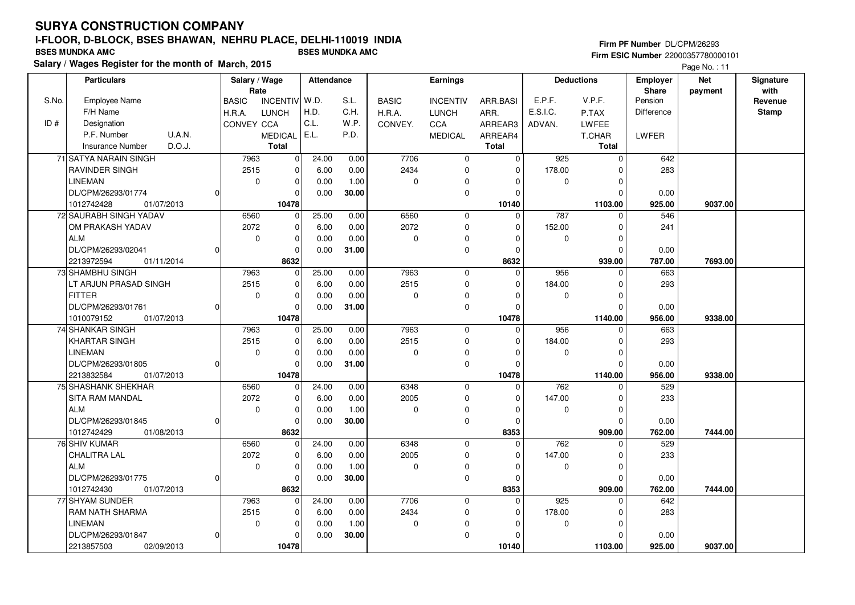#### **Firm PF Number** DL/CPM/26293 **Firm ESIC Number** 22000357780000101

|       | <b>Particulars</b>                |          | Salary / Wage<br>Rate |                 | Attendance |       |              | <b>Earnings</b> |              |             | <b>Deductions</b> | <b>Employer</b><br>Share | <b>Net</b> | Signature<br>with |
|-------|-----------------------------------|----------|-----------------------|-----------------|------------|-------|--------------|-----------------|--------------|-------------|-------------------|--------------------------|------------|-------------------|
| S.No. | Employee Name                     |          | <b>BASIC</b>          | <b>INCENTIV</b> | W.D.       | S.L.  | <b>BASIC</b> | <b>INCENTIV</b> | ARR.BASI     | E.P.F.      | V.P.F.            | Pension                  | payment    | Revenue           |
|       | F/H Name                          |          | H.R.A.                | <b>LUNCH</b>    | H.D.       | C.H.  | H.R.A.       | <b>LUNCH</b>    | ARR.         | E.S.I.C.    | P.TAX             | Difference               |            | <b>Stamp</b>      |
| ID#   | Designation                       |          | <b>CONVEY CCA</b>     |                 | C.L.       | W.P.  | CONVEY.      | CCA             | ARREAR3      | ADVAN.      | LWFEE             |                          |            |                   |
|       | P.F. Number<br><b>U.A.N.</b>      |          |                       | <b>MEDICAL</b>  | E.L.       | P.D.  |              | <b>MEDICAL</b>  | ARREAR4      |             | T.CHAR            | <b>LWFER</b>             |            |                   |
|       | D.O.J.<br><b>Insurance Number</b> |          |                       | <b>Total</b>    |            |       |              |                 | <b>Total</b> |             | <b>Total</b>      |                          |            |                   |
|       | 71 SATYA NARAIN SINGH             |          | 7963                  | $\mathbf 0$     | 24.00      | 0.00  | 7706         | $\mathbf 0$     | $\mathbf 0$  | 925         | $\mathbf 0$       | 642                      |            |                   |
|       | <b>RAVINDER SINGH</b>             |          | 2515                  | $\mathbf 0$     | 6.00       | 0.00  | 2434         | $\mathbf 0$     | $\Omega$     | 178.00      | $\Omega$          | 283                      |            |                   |
|       | <b>LINEMAN</b>                    |          | $\mathbf 0$           | $\mathbf 0$     | 0.00       | 1.00  | $\mathbf 0$  | $\Omega$        | 0            | $\mathbf 0$ | $\Omega$          |                          |            |                   |
|       | DL/CPM/26293/01774                |          |                       | $\mathbf 0$     | 0.00       | 30.00 |              | $\mathbf 0$     | 0            |             | $\Omega$          | 0.00                     |            |                   |
|       | 1012742428<br>01/07/2013          |          |                       | 10478           |            |       |              |                 | 10140        |             | 1103.00           | 925.00                   | 9037.00    |                   |
|       | 72 SAURABH SINGH YADAV            |          | 6560                  | $\mathbf 0$     | 25.00      | 0.00  | 6560         | $\mathbf 0$     | $\Omega$     | 787         | $\Omega$          | 546                      |            |                   |
|       | OM PRAKASH YADAV                  |          | 2072                  | 0               | 6.00       | 0.00  | 2072         | $\mathbf 0$     | 0            | 152.00      | $\Omega$          | 241                      |            |                   |
|       | <b>ALM</b>                        |          | $\mathbf 0$           | 0               | 0.00       | 0.00  | 0            | $\Omega$        | $\Omega$     | 0           | $\Omega$          |                          |            |                   |
|       | DL/CPM/26293/02041                | $\Omega$ |                       | $\Omega$        | 0.00       | 31.00 |              | $\mathbf 0$     | $\Omega$     |             | $\Omega$          | 0.00                     |            |                   |
|       | 2213972594<br>01/11/2014          |          |                       | 8632            |            |       |              |                 | 8632         |             | 939.00            | 787.00                   | 7693.00    |                   |
|       | 73 SHAMBHU SINGH                  |          | 7963                  | $\Omega$        | 25.00      | 0.00  | 7963         | $\mathsf 0$     | $\Omega$     | 956         | $\mathbf{0}$      | 663                      |            |                   |
|       | LT ARJUN PRASAD SINGH             |          | 2515                  | $\mathbf 0$     | 6.00       | 0.00  | 2515         | $\mathbf 0$     | $\Omega$     | 184.00      | $\Omega$          | 293                      |            |                   |
|       | <b>FITTER</b>                     |          | 0                     | $\mathbf 0$     | 0.00       | 0.00  | 0            | $\mathbf 0$     | $\Omega$     | 0           | $\Omega$          |                          |            |                   |
|       | DL/CPM/26293/01761                | $\Omega$ |                       | $\Omega$        | 0.00       | 31.00 |              | $\mathbf 0$     | $\Omega$     |             | $\Omega$          | 0.00                     |            |                   |
|       | 01/07/2013<br>1010079152          |          |                       | 10478           |            |       |              |                 | 10478        |             | 1140.00           | 956.00                   | 9338.00    |                   |
|       | 74 SHANKAR SINGH                  |          | 7963                  | $\mathbf 0$     | 25.00      | 0.00  | 7963         | $\mathbf 0$     | $\Omega$     | 956         | 0                 | 663                      |            |                   |
|       | <b>KHARTAR SINGH</b>              |          | 2515                  | $\Omega$        | 6.00       | 0.00  | 2515         | $\mathbf 0$     | $\Omega$     | 184.00      | $\Omega$          | 293                      |            |                   |
|       | <b>LINEMAN</b>                    |          | $\mathbf 0$           | $\mathbf 0$     | 0.00       | 0.00  | 0            | $\mathbf 0$     | $\Omega$     | $\mathbf 0$ | $\Omega$          |                          |            |                   |
|       | DL/CPM/26293/01805                | $\Omega$ |                       | 0               | 0.00       | 31.00 |              | $\mathbf 0$     | $\Omega$     |             | $\Omega$          | 0.00                     |            |                   |
|       | 2213832584<br>01/07/2013          |          |                       | 10478           |            |       |              |                 | 10478        |             | 1140.00           | 956.00                   | 9338.00    |                   |
|       | 75 SHASHANK SHEKHAR               |          | 6560                  | $\mathbf 0$     | 24.00      | 0.00  | 6348         | $\mathbf 0$     | $\Omega$     | 762         | $\Omega$          | 529                      |            |                   |
|       | <b>SITA RAM MANDAL</b>            |          | 2072                  | $\mathbf 0$     | 6.00       | 0.00  | 2005         | $\mathbf 0$     | $\Omega$     | 147.00      | $\Omega$          | 233                      |            |                   |
|       | <b>ALM</b>                        |          | 0                     | 0               | 0.00       | 1.00  | 0            | 0               | $\Omega$     | 0           | $\Omega$          |                          |            |                   |
|       | DL/CPM/26293/01845                | $\Omega$ |                       | $\mathbf 0$     | 0.00       | 30.00 |              | $\mathbf 0$     | $\mathbf 0$  |             | $\Omega$          | 0.00                     |            |                   |
|       | 1012742429<br>01/08/2013          |          |                       | 8632            |            |       |              |                 | 8353         |             | 909.00            | 762.00                   | 7444.00    |                   |
|       | 76 SHIV KUMAR                     |          | 6560                  | $\mathbf 0$     | 24.00      | 0.00  | 6348         | $\mathbf{0}$    | $\Omega$     | 762         | $\mathbf 0$       | 529                      |            |                   |
|       | <b>CHALITRA LAL</b>               |          | 2072                  | $\mathbf 0$     | 6.00       | 0.00  | 2005         | $\mathbf 0$     | $\Omega$     | 147.00      | $\Omega$          | 233                      |            |                   |
|       | <b>ALM</b>                        |          | $\mathbf 0$           | $\mathbf 0$     | 0.00       | 1.00  | 0            | 0               | 0            | 0           | $\Omega$          |                          |            |                   |
|       | DL/CPM/26293/01775                | $\Omega$ |                       | 0               | 0.00       | 30.00 |              | $\mathbf 0$     | 0            |             | $\Omega$          | 0.00                     |            |                   |
|       | 1012742430<br>01/07/2013          |          |                       | 8632            |            |       |              |                 | 8353         |             | 909.00            | 762.00                   | 7444.00    |                   |
|       | 77 SHYAM SUNDER                   |          | 7963                  | $\Omega$        | 24.00      | 0.00  | 7706         | $\mathbf 0$     | $\Omega$     | 925         | $\Omega$          | 642                      |            |                   |
|       | RAM NATH SHARMA                   |          | 2515                  | 0               | 6.00       | 0.00  | 2434         | 0               | 0            | 178.00      | $\Omega$          | 283                      |            |                   |
|       | <b>LINEMAN</b>                    |          | $\mathbf 0$           | 0               | 0.00       | 1.00  | 0            | $\Omega$        | $\Omega$     | $\mathbf 0$ | $\Omega$          |                          |            |                   |
|       | DL/CPM/26293/01847                | 0        |                       | $\Omega$        | 0.00       | 30.00 |              | $\mathbf 0$     | $\Omega$     |             | $\Omega$          | 0.00                     |            |                   |
|       | 2213857503<br>02/09/2013          |          |                       | 10478           |            |       |              |                 | 10140        |             | 1103.00           | 925.00                   | 9037.00    |                   |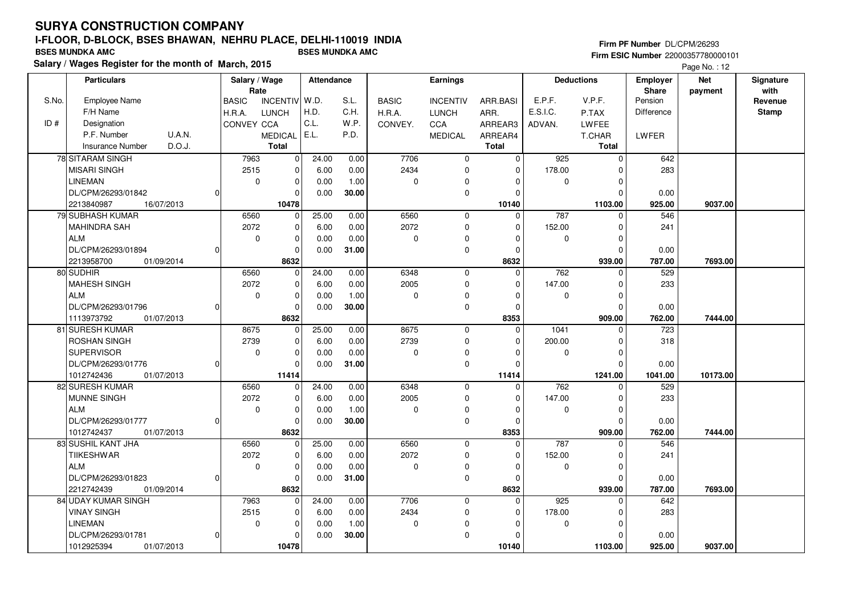#### **Firm PF Number** DL/CPM/26293 **Firm ESIC Number** 22000357780000101

|       | <b>Particulars</b>                |          | Salary / Wage<br>Rate |                 | Attendance |       |              | Earnings        |              |          | <b>Deductions</b> | <b>Employer</b><br>Share | <b>Net</b> | Signature<br>with |
|-------|-----------------------------------|----------|-----------------------|-----------------|------------|-------|--------------|-----------------|--------------|----------|-------------------|--------------------------|------------|-------------------|
| S.No. | Employee Name                     |          | <b>BASIC</b>          | <b>INCENTIV</b> | W.D.       | S.L.  | <b>BASIC</b> | <b>INCENTIV</b> | ARR.BASI     | E.P.F.   | V.P.F.            | Pension                  | payment    | Revenue           |
|       | F/H Name                          |          | H.R.A.                | <b>LUNCH</b>    | H.D.       | C.H.  | H.R.A.       | <b>LUNCH</b>    | ARR.         | E.S.I.C. | P.TAX             | Difference               |            | <b>Stamp</b>      |
| ID#   | Designation                       |          | CONVEY CCA            |                 | C.L.       | W.P.  | CONVEY.      | CCA             | ARREAR3      | ADVAN.   | LWFEE             |                          |            |                   |
|       | P.F. Number<br>U.A.N.             |          |                       | <b>MEDICAL</b>  | E.L.       | P.D.  |              | <b>MEDICAL</b>  | ARREAR4      |          | T.CHAR            | LWFER                    |            |                   |
|       | D.O.J.<br><b>Insurance Number</b> |          |                       | <b>Total</b>    |            |       |              |                 | <b>Total</b> |          | <b>Total</b>      |                          |            |                   |
|       | 78 SITARAM SINGH                  |          | 7963                  | $\mathbf 0$     | 24.00      | 0.00  | 7706         | $\mathbf 0$     | $\mathbf 0$  | 925      | $\Omega$          | 642                      |            |                   |
|       | <b>MISARI SINGH</b>               |          | 2515                  | $\mathbf 0$     | 6.00       | 0.00  | 2434         | $\mathbf 0$     | $\mathbf 0$  | 178.00   | $\Omega$          | 283                      |            |                   |
|       | <b>LINEMAN</b>                    |          | $\mathbf 0$           | 0               | 0.00       | 1.00  | 0            | $\mathbf 0$     | $\Omega$     | 0        | $\Omega$          |                          |            |                   |
|       | DL/CPM/26293/01842                | O        |                       | $\mathbf 0$     | 0.00       | 30.00 |              | $\mathbf 0$     | $\Omega$     |          | $\Omega$          | 0.00                     |            |                   |
|       | 16/07/2013<br>2213840987          |          |                       | 10478           |            |       |              |                 | 10140        |          | 1103.00           | 925.00                   | 9037.00    |                   |
|       | 79 SUBHASH KUMAR                  |          | 6560                  | $\mathbf{0}$    | 25.00      | 0.00  | 6560         | 0               | $\Omega$     | 787      | $\Omega$          | 546                      |            |                   |
|       | <b>MAHINDRA SAH</b>               |          | 2072                  | $\mathbf 0$     | 6.00       | 0.00  | 2072         | $\mathbf 0$     | $\mathbf 0$  | 152.00   | $\Omega$          | 241                      |            |                   |
|       | <b>ALM</b>                        |          | $\mathbf 0$           | 0               | 0.00       | 0.00  | 0            | $\mathbf 0$     | $\Omega$     | 0        | $\Omega$          |                          |            |                   |
|       | DL/CPM/26293/01894                | $\Omega$ |                       | $\mathbf 0$     | 0.00       | 31.00 |              | $\mathbf 0$     | $\mathbf 0$  |          | $\Omega$          | 0.00                     |            |                   |
|       | 2213958700<br>01/09/2014          |          |                       | 8632            |            |       |              |                 | 8632         |          | 939.00            | 787.00                   | 7693.00    |                   |
|       | 80 SUDHIR                         |          | 6560                  | $\overline{0}$  | 24.00      | 0.00  | 6348         | 0               | $\mathbf 0$  | 762      | 0                 | 529                      |            |                   |
|       | MAHESH SINGH                      |          | 2072                  | 0               | 6.00       | 0.00  | 2005         | $\mathbf 0$     | $\mathbf 0$  | 147.00   | $\Omega$          | 233                      |            |                   |
|       | <b>ALM</b>                        |          | $\mathbf 0$           | 0               | 0.00       | 1.00  | 0            | $\mathbf 0$     | $\Omega$     | 0        | $\Omega$          |                          |            |                   |
|       | DL/CPM/26293/01796                | O        |                       | 0               | 0.00       | 30.00 |              | $\pmb{0}$       | $\Omega$     |          | $\Omega$          | 0.00                     |            |                   |
|       | 1113973792<br>01/07/2013          |          |                       | 8632            |            |       |              |                 | 8353         |          | 909.00            | 762.00                   | 7444.00    |                   |
|       | 81 SURESH KUMAR                   |          | 8675                  | 0               | 25.00      | 0.00  | 8675         | $\mathbf 0$     | $\mathbf 0$  | 1041     | $\Omega$          | 723                      |            |                   |
|       | <b>ROSHAN SINGH</b>               |          | 2739                  | $\mathbf{0}$    | 6.00       | 0.00  | 2739         | $\mathbf 0$     | $\Omega$     | 200.00   | $\Omega$          | 318                      |            |                   |
|       | <b>SUPERVISOR</b>                 |          | $\mathbf 0$           | $\mathbf 0$     | 0.00       | 0.00  | 0            | $\pmb{0}$       | $\Omega$     | 0        | $\Omega$          |                          |            |                   |
|       | DL/CPM/26293/01776                | $\Omega$ |                       | 0               | 0.00       | 31.00 |              | $\mathbf 0$     | $\Omega$     |          | $\Omega$          | 0.00                     |            |                   |
|       | 1012742436<br>01/07/2013          |          |                       | 11414           |            |       |              |                 | 11414        |          | 1241.00           | 1041.00                  | 10173.00   |                   |
|       | 82 SURESH KUMAR                   |          | 6560                  | $\mathbf{0}$    | 24.00      | 0.00  | 6348         | $\mathbf 0$     | $\mathbf 0$  | 762      |                   | 529                      |            |                   |
|       | <b>MUNNE SINGH</b>                |          | 2072                  | 0               | 6.00       | 0.00  | 2005         | $\mathbf 0$     | $\Omega$     | 147.00   | $\Omega$          | 233                      |            |                   |
|       | <b>ALM</b>                        |          | $\mathbf 0$           | $\mathbf 0$     | 0.00       | 1.00  | 0            | $\mathbf 0$     | $\mathbf 0$  | 0        | $\Omega$          |                          |            |                   |
|       | DL/CPM/26293/01777                | $\Omega$ |                       | $\mathbf 0$     | 0.00       | 30.00 |              | $\pmb{0}$       | $\mathbf 0$  |          | $\Omega$          | 0.00                     |            |                   |
|       | 1012742437<br>01/07/2013          |          |                       | 8632            |            |       |              |                 | 8353         |          | 909.00            | 762.00                   | 7444.00    |                   |
|       | 83 SUSHIL KANT JHA                |          | 6560                  | $\mathbf{0}$    | 25.00      | 0.00  | 6560         | $\mathbf 0$     | $\Omega$     | 787      | $\Omega$          | 546                      |            |                   |
|       | <b>TIIKESHWAR</b>                 |          | 2072                  | 0               | 6.00       | 0.00  | 2072         | $\mathbf 0$     | $\Omega$     | 152.00   | $\Omega$          | 241                      |            |                   |
|       | <b>ALM</b>                        |          | $\mathbf 0$           | $\mathbf{0}$    | 0.00       | 0.00  | 0            | $\mathbf 0$     | $\Omega$     | 0        | $\Omega$          |                          |            |                   |
|       | DL/CPM/26293/01823                | $\Omega$ |                       | 0               | 0.00       | 31.00 |              | $\mathbf 0$     | $\mathbf 0$  |          | $\Omega$          | 0.00                     |            |                   |
|       | 2212742439<br>01/09/2014          |          |                       | 8632            |            |       |              |                 | 8632         |          | 939.00            | 787.00                   | 7693.00    |                   |
|       | 84 UDAY KUMAR SINGH               |          | 7963                  | 0               | 24.00      | 0.00  | 7706         | $\mathbf 0$     | 0            | 925      | $\Omega$          | 642                      |            |                   |
|       | VINAY SINGH                       |          | 2515                  | 0               | 6.00       | 0.00  | 2434         | 0               | 0            | 178.00   | $\Omega$          | 283                      |            |                   |
|       | <b>LINEMAN</b>                    |          | $\mathbf 0$           | $\pmb{0}$       | 0.00       | 1.00  | 0            | $\mathbf 0$     | $\Omega$     | 0        | $\Omega$          |                          |            |                   |
|       | DL/CPM/26293/01781                | $\Omega$ |                       | 0               | 0.00       | 30.00 |              | $\mathbf 0$     | $\Omega$     |          | $\Omega$          | 0.00                     |            |                   |
|       | 1012925394<br>01/07/2013          |          |                       | 10478           |            |       |              |                 | 10140        |          | 1103.00           | 925.00                   | 9037.00    |                   |